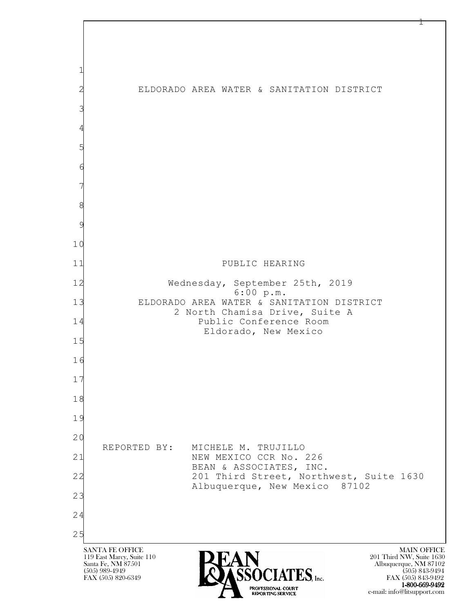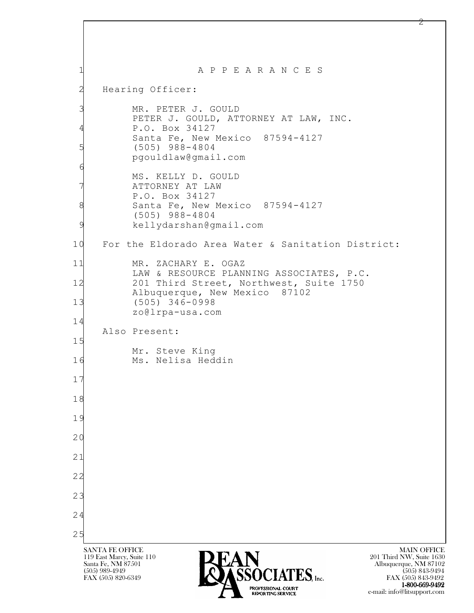| 1                    | A P P E A R A N C E S                                                                                                                                                                                                                                            |
|----------------------|------------------------------------------------------------------------------------------------------------------------------------------------------------------------------------------------------------------------------------------------------------------|
| $\mathbf{Z}$         | Hearing Officer:                                                                                                                                                                                                                                                 |
| 3<br>4               | MR. PETER J. GOULD<br>PETER J. GOULD, ATTORNEY AT LAW, INC.<br>P.O. Box 34127<br>Santa Fe, New Mexico 87594-4127                                                                                                                                                 |
| 5<br>6               | $(505)$ 988-4804<br>pgouldlaw@gmail.com                                                                                                                                                                                                                          |
| 8<br>9               | MS. KELLY D. GOULD<br>ATTORNEY AT LAW<br>P.O. Box 34127<br>Santa Fe, New Mexico 87594-4127<br>$(505)$ 988-4804<br>kellydarshan@gmail.com                                                                                                                         |
| 10                   | For the Eldorado Area Water & Sanitation District:                                                                                                                                                                                                               |
| 11                   | MR. ZACHARY E. OGAZ<br>LAW & RESOURCE PLANNING ASSOCIATES, P.C.                                                                                                                                                                                                  |
| 12<br>13             | 201 Third Street, Northwest, Suite 1750<br>Albuquerque, New Mexico 87102<br>$(505) 346 - 0998$<br>zo@lrpa-usa.com                                                                                                                                                |
| 14<br>15             | Also Present:                                                                                                                                                                                                                                                    |
| 16                   | Mr. Steve King<br>Ms. Nelisa Heddin                                                                                                                                                                                                                              |
| 17                   |                                                                                                                                                                                                                                                                  |
| 18                   |                                                                                                                                                                                                                                                                  |
| 19<br>2 <sup>c</sup> |                                                                                                                                                                                                                                                                  |
| 21                   |                                                                                                                                                                                                                                                                  |
| 22                   |                                                                                                                                                                                                                                                                  |
| 23                   |                                                                                                                                                                                                                                                                  |
| 24                   |                                                                                                                                                                                                                                                                  |
| 25                   |                                                                                                                                                                                                                                                                  |
|                      | <b>SANTA FE OFFICE</b><br><b>MAIN OFFICE</b><br>119 East Marcy, Suite 110<br>201 Third NW, Suite 1630<br>EAN<br>Associates [10]<br>Santa Fe, NM 87501<br>Albuquerque, NM 87102<br>(505) 989-4949<br>$(505)$ 843-9494<br>FAX (505) 820-6349<br>FAX (505) 843-9492 |

**1-800-669-9492**<br> **EXALTENDAM CN BT** e-mail: info@litsupport.com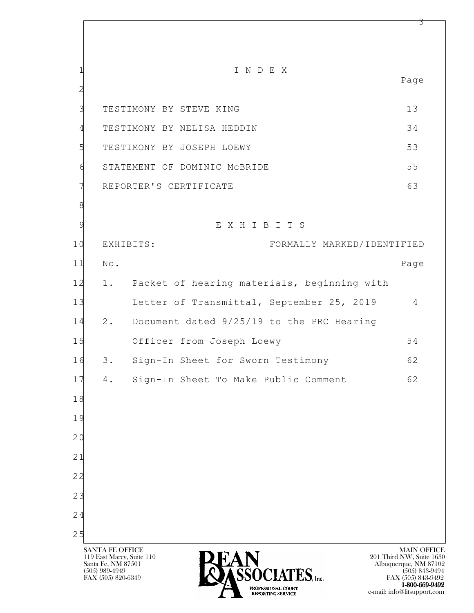l SANTA FE OFFICE MAIN OFFICE MAIN OFFICE MAIN OFFICE MAIN OFFICE 119 East Marcy, Suite 110<br>Santa Fe, NM 87501 Santa Fe, NM 87501 Albuquerque, NM 87102  $\sum_{\text{FAX (505) 889-4949}} \sum_{\text{FAX (505) 843-9492}} \sum_{\text{FAX (505) 843-9492}} \sum_{\text{FAX (505) 843-9492}}$ 1 I N D E X Page 2 3 TESTIMONY BY STEVE KING 13 4 TESTIMONY BY NELISA HEDDIN 34 5 TESTIMONY BY JOSEPH LOEWY 53 6 STATEMENT OF DOMINIC McBRIDE 55 7 REPORTER'S CERTIFICATE 63 8 9 E X H I B I T S 10 EXHIBITS: FORMALLY MARKED/IDENTIFIED 11 No. Page 12 1. Packet of hearing materials, beginning with 13 Letter of Transmittal, September 25, 2019 4 14 2. Document dated 9/25/19 to the PRC Hearing 15 Officer from Joseph Loewy 54 16 3. Sign-In Sheet for Sworn Testimony 62 17 4. Sign-In Sheet To Make Public Comment 62 18 19 20 21 22 23 24 25

FAX (505) 843-9492 1-800-669-9492 e-mail: info@litsupport.com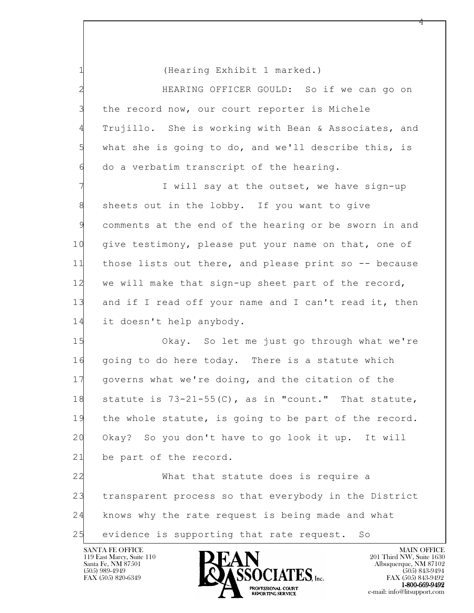1 (Hearing Exhibit 1 marked.)

2 HEARING OFFICER GOULD: So if we can go on 3 the record now, our court reporter is Michele 4 Trujillo. She is working with Bean & Associates, and 5 what she is going to do, and we'll describe this, is 6 do a verbatim transcript of the hearing.

7 **I** will say at the outset, we have sign-up 8 sheets out in the lobby. If you want to give 9 comments at the end of the hearing or be sworn in and 10 give testimony, please put your name on that, one of 11 those lists out there, and please print so -- because 12 we will make that sign-up sheet part of the record, 13 and if I read off your name and I can't read it, then 14 it doesn't help anybody.

15 Okay. So let me just go through what we're 16 going to do here today. There is a statute which 17 governs what we're doing, and the citation of the 18 statute is 73-21-55(C), as in "count." That statute, 19 the whole statute, is going to be part of the record. 20 Okay? So you don't have to go look it up. It will 21 be part of the record.

l 22 What that statute does is require a 23 transparent process so that everybody in the District 24 knows why the rate request is being made and what 25 evidence is supporting that rate request. So

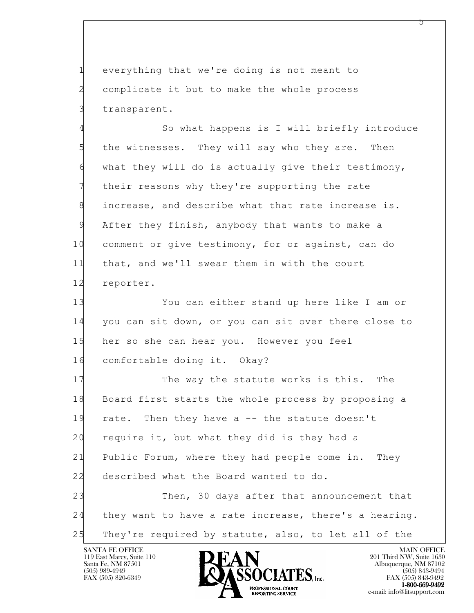1 everything that we're doing is not meant to 2 complicate it but to make the whole process 3 transparent.

4 So what happens is I will briefly introduce 5 the witnesses. They will say who they are. Then 6 what they will do is actually give their testimony, 7 their reasons why they're supporting the rate 8 increase, and describe what that rate increase is. 9 After they finish, anybody that wants to make a 10 comment or give testimony, for or against, can do 11 that, and we'll swear them in with the court 12 reporter.

13 You can either stand up here like I am or 14 you can sit down, or you can sit over there close to 15 her so she can hear you. However you feel 16 comfortable doing it. Okay?

l 17 The way the statute works is this. The 18 Board first starts the whole process by proposing a 19 rate. Then they have a -- the statute doesn't 20 require it, but what they did is they had a 21 Public Forum, where they had people come in. They 22 described what the Board wanted to do. 23 Then, 30 days after that announcement that

24 they want to have a rate increase, there's a hearing. 25 They're required by statute, also, to let all of the

119 East Marcy, Suite 110<br>Santa Fe, NM 87501

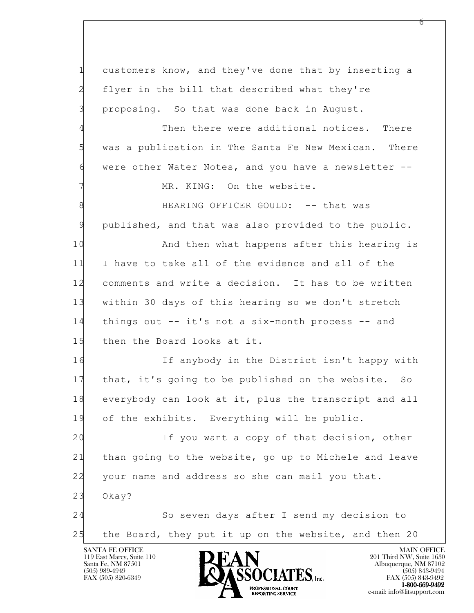l SANTA FE OFFICE MAIN OFFICE MAIN OFFICE MAIN OFFICE MAIN OFFICE 1 customers know, and they've done that by inserting a 2 flyer in the bill that described what they're 3 proposing. So that was done back in August. Then there were additional notices. There 5 was a publication in The Santa Fe New Mexican. There 6 were other Water Notes, and you have a newsletter -- MR. KING: On the website. 8 HEARING OFFICER GOULD: -- that was 9 published, and that was also provided to the public. 10 And then what happens after this hearing is 11 I have to take all of the evidence and all of the 12 comments and write a decision. It has to be written 13 within 30 days of this hearing so we don't stretch 14 things out -- it's not a six-month process -- and 15 then the Board looks at it. 16 If anybody in the District isn't happy with 17 that, it's going to be published on the website. So 18 everybody can look at it, plus the transcript and all 19 of the exhibits. Everything will be public. 20 If you want a copy of that decision, other 21 than going to the website, go up to Michele and leave 22 your name and address so she can mail you that. 23 Okay? 24 So seven days after I send my decision to 25 the Board, they put it up on the website, and then 20

119 East Marcy, Suite 110<br>Santa Fe, NM 87501

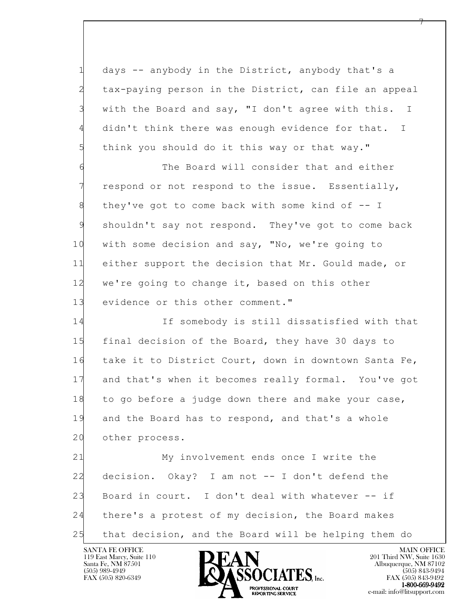1 days -- anybody in the District, anybody that's a 2 tax-paying person in the District, can file an appeal 3 with the Board and say, "I don't agree with this. I 4 didn't think there was enough evidence for that. I 5 think you should do it this way or that way."

6 The Board will consider that and either 7 respond or not respond to the issue. Essentially, 8 they've got to come back with some kind of -- I 9 shouldn't say not respond. They've got to come back 10 with some decision and say, "No, we're going to 11 either support the decision that Mr. Gould made, or 12 we're going to change it, based on this other 13 evidence or this other comment."

14 If somebody is still dissatisfied with that 15 final decision of the Board, they have 30 days to 16 take it to District Court, down in downtown Santa Fe, 17 and that's when it becomes really formal. You've got 18 to go before a judge down there and make your case, 19 and the Board has to respond, and that's a whole 20 other process.

l 21 My involvement ends once I write the 22 decision. Okay? I am not -- I don't defend the 23 Board in court. I don't deal with whatever -- if 24 there's a protest of my decision, the Board makes 25 that decision, and the Board will be helping them do

119 East Marcy, Suite 110<br>Santa Fe, NM 87501

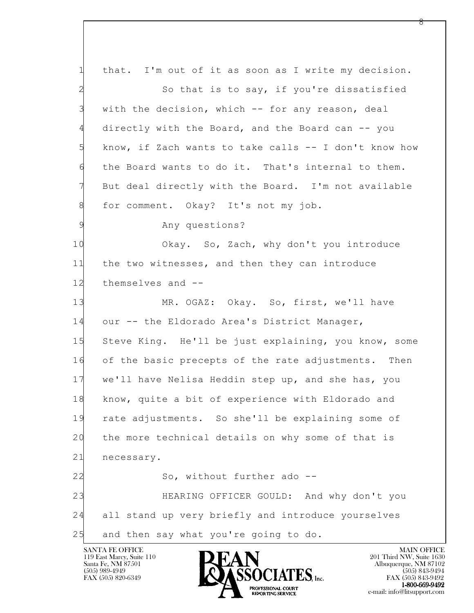l 1 that. I'm out of it as soon as I write my decision. 2 So that is to say, if you're dissatisfied 3 with the decision, which -- for any reason, deal 4 directly with the Board, and the Board can -- you 5 know, if Zach wants to take calls -- I don't know how 6 the Board wants to do it. That's internal to them. 7 But deal directly with the Board. I'm not available 8 for comment. Okay? It's not my job. 9 Any questions? 10 Okay. So, Zach, why don't you introduce 11 the two witnesses, and then they can introduce 12 themselves and -- 13 MR. OGAZ: Okay. So, first, we'll have 14 our -- the Eldorado Area's District Manager, 15 Steve King. He'll be just explaining, you know, some 16 of the basic precepts of the rate adjustments. Then 17 we'll have Nelisa Heddin step up, and she has, you 18 know, quite a bit of experience with Eldorado and 19 rate adjustments. So she'll be explaining some of 20 the more technical details on why some of that is 21 necessary. 22 So, without further ado --23 HEARING OFFICER GOULD: And why don't you 24 all stand up very briefly and introduce yourselves 25 and then say what you're going to do.

119 East Marcy, Suite 110<br>Santa Fe, NM 87501

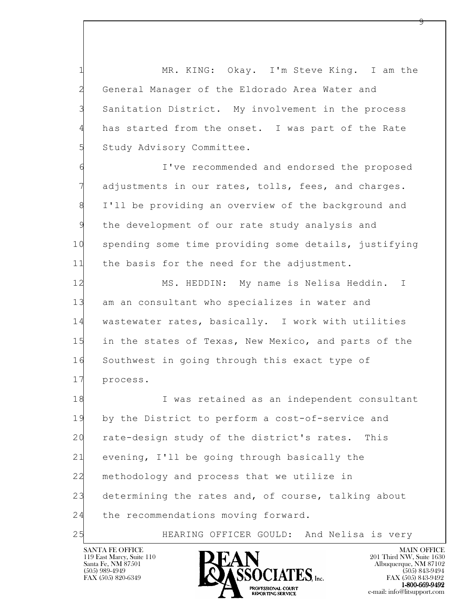1 MR. KING: Okay. I'm Steve King. I am the 2 General Manager of the Eldorado Area Water and 3 Sanitation District. My involvement in the process 4 has started from the onset. I was part of the Rate 5 Study Advisory Committee.

6 I've recommended and endorsed the proposed 7 adjustments in our rates, tolls, fees, and charges. 8 I'll be providing an overview of the background and 9 the development of our rate study analysis and 10 spending some time providing some details, justifying 11 the basis for the need for the adjustment.

12 MS. HEDDIN: My name is Nelisa Heddin. I 13 am an consultant who specializes in water and 14 wastewater rates, basically. I work with utilities 15 in the states of Texas, New Mexico, and parts of the 16 Southwest in going through this exact type of 17 process.

l 18 I was retained as an independent consultant 19 by the District to perform a cost-of-service and 20 rate-design study of the district's rates. This 21 evening, I'll be going through basically the 22 methodology and process that we utilize in 23 determining the rates and, of course, talking about 24 the recommendations moving forward.

25 HEARING OFFICER GOULD: And Nelisa is very

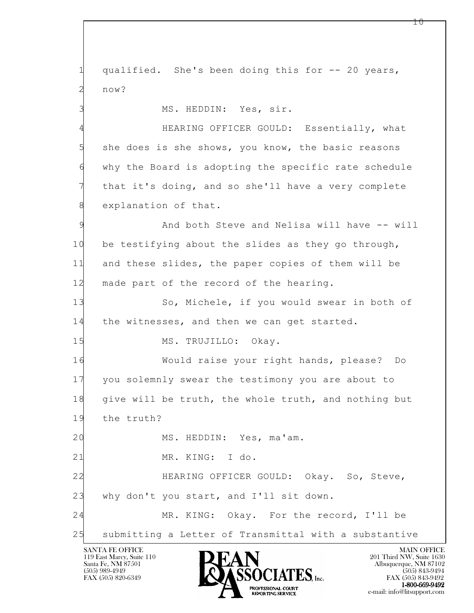l SANTA FE OFFICE MAIN OFFICE MAIN OFFICE MAIN OFFICE MAIN OFFICE 1 qualified. She's been doing this for -- 20 years, 2 now? 3 MS. HEDDIN: Yes, sir. 4 HEARING OFFICER GOULD: Essentially, what 5 she does is she shows, you know, the basic reasons 6 why the Board is adopting the specific rate schedule that it's doing, and so she'll have a very complete 8 explanation of that. 9 And both Steve and Nelisa will have -- will 10 be testifying about the slides as they go through, 11 and these slides, the paper copies of them will be 12 made part of the record of the hearing. 13 So, Michele, if you would swear in both of 14 the witnesses, and then we can get started. 15 MS. TRUJILLO: Okay. 16 Would raise your right hands, please? Do 17 you solemnly swear the testimony you are about to 18 give will be truth, the whole truth, and nothing but 19 the truth? 20 MS. HEDDIN: Yes, ma'am. 21 MR. KING: I do. 22 HEARING OFFICER GOULD: Okay. So, Steve, 23 why don't you start, and I'll sit down. 24 MR. KING: Okay. For the record, I'll be 25 submitting a Letter of Transmittal with a substantive

119 East Marcy, Suite 110<br>Santa Fe, NM 87501



 $10 \,$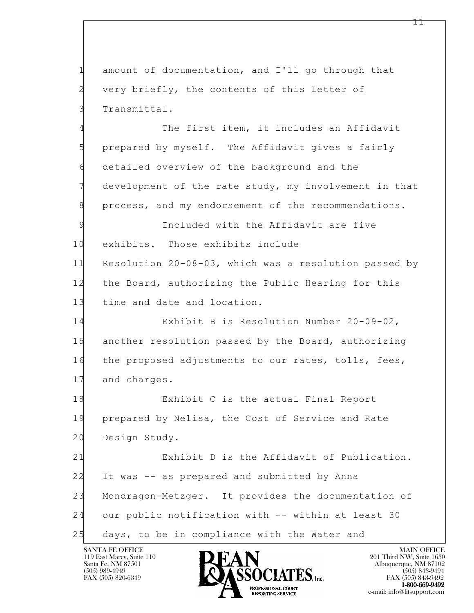1 amount of documentation, and I'll go through that 2 very briefly, the contents of this Letter of 3 Transmittal.

4 The first item, it includes an Affidavit 5 prepared by myself. The Affidavit gives a fairly 6 detailed overview of the background and the development of the rate study, my involvement in that 8 process, and my endorsement of the recommendations.

9 Included with the Affidavit are five 10 exhibits. Those exhibits include 11 Resolution 20-08-03, which was a resolution passed by 12 the Board, authorizing the Public Hearing for this 13 time and date and location.

14 Exhibit B is Resolution Number 20-09-02, 15 another resolution passed by the Board, authorizing 16 the proposed adjustments to our rates, tolls, fees, 17 and charges.

18 Exhibit C is the actual Final Report 19 prepared by Nelisa, the Cost of Service and Rate 20 Design Study.

l 21 Exhibit D is the Affidavit of Publication. 22 It was -- as prepared and submitted by Anna 23 Mondragon-Metzger. It provides the documentation of 24 our public notification with -- within at least 30 25 days, to be in compliance with the Water and

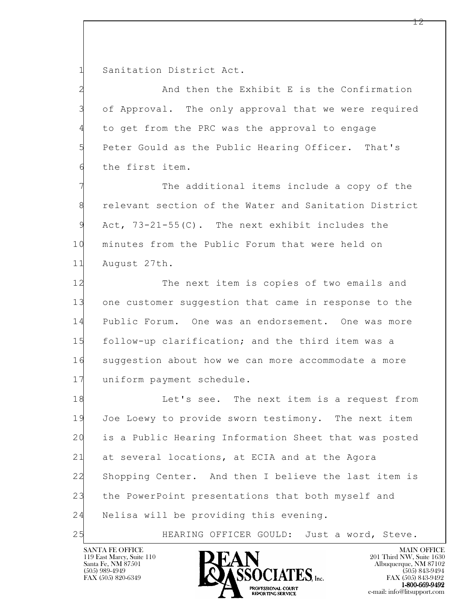1 Sanitation District Act.

2 And then the Exhibit E is the Confirmation 3 of Approval. The only approval that we were required 4 to get from the PRC was the approval to engage 5 Peter Gould as the Public Hearing Officer. That's 6 the first item.

The additional items include a copy of the 8 relevant section of the Water and Sanitation District 9 Act, 73-21-55(C). The next exhibit includes the 10 minutes from the Public Forum that were held on 11 August 27th.

12 The next item is copies of two emails and 13 one customer suggestion that came in response to the 14 Public Forum. One was an endorsement. One was more 15 follow-up clarification; and the third item was a 16 suggestion about how we can more accommodate a more 17 uniform payment schedule.

l 18 Let's see. The next item is a request from 19 Joe Loewy to provide sworn testimony. The next item 20 is a Public Hearing Information Sheet that was posted 21 at several locations, at ECIA and at the Agora 22 Shopping Center. And then I believe the last item is 23 the PowerPoint presentations that both myself and 24 Nelisa will be providing this evening.

25 HEARING OFFICER GOULD: Just a word, Steve.

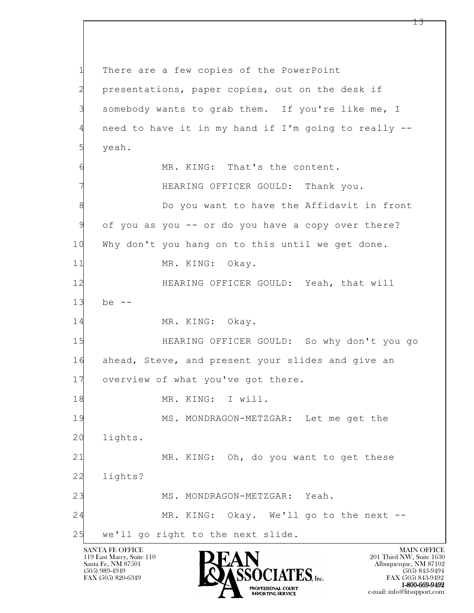l 1 There are a few copies of the PowerPoint 2 presentations, paper copies, out on the desk if 3 somebody wants to grab them. If you're like me, I 4 need to have it in my hand if I'm going to really -- 5 yeah. 6 MR. KING: That's the content. 7 HEARING OFFICER GOULD: Thank you. 8 Bo you want to have the Affidavit in front 9 of you as you -- or do you have a copy over there? 10 Why don't you hang on to this until we get done. 11 MR. KING: Okay. 12 HEARING OFFICER GOULD: Yeah, that will 13 be -- 14 MR. KING: Okay. 15 HEARING OFFICER GOULD: So why don't you go 16 ahead, Steve, and present your slides and give an 17 overview of what you've got there. 18 MR. KING: I will. 19 MS. MONDRAGON-METZGAR: Let me get the 20 lights. 21 MR. KING: Oh, do you want to get these 22 lights? 23 MS. MONDRAGON-METZGAR: Yeah. 24 MR. KING: Okay. We'll go to the next -- 25 we'll go right to the next slide.

119 East Marcy, Suite 110<br>Santa Fe, NM 87501

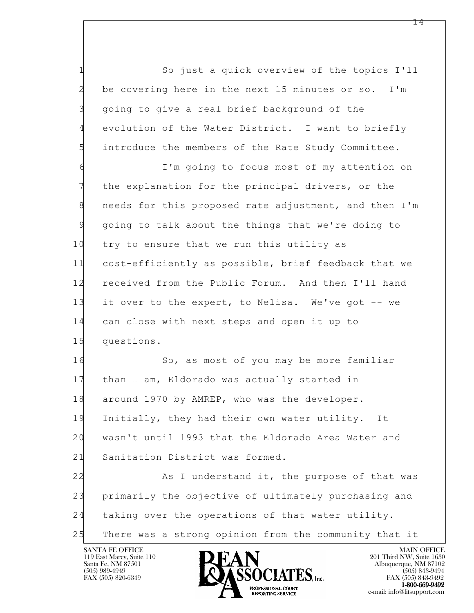1 So just a quick overview of the topics I'll 2 be covering here in the next 15 minutes or so. I'm 3 going to give a real brief background of the 4 evolution of the Water District. I want to briefly 5 introduce the members of the Rate Study Committee.

6 I'm going to focus most of my attention on 7 the explanation for the principal drivers, or the 8 needs for this proposed rate adjustment, and then I'm 9 going to talk about the things that we're doing to 10 try to ensure that we run this utility as 11 cost-efficiently as possible, brief feedback that we 12 received from the Public Forum. And then I'll hand 13 it over to the expert, to Nelisa. We've got -- we 14 can close with next steps and open it up to 15 questions.

16 So, as most of you may be more familiar 17 than I am, Eldorado was actually started in 18 around 1970 by AMREP, who was the developer. 19 Initially, they had their own water utility. It 20 wasn't until 1993 that the Eldorado Area Water and 21 Sanitation District was formed.

l 22 As I understand it, the purpose of that was 23 primarily the objective of ultimately purchasing and 24 taking over the operations of that water utility. 25 There was a strong opinion from the community that it

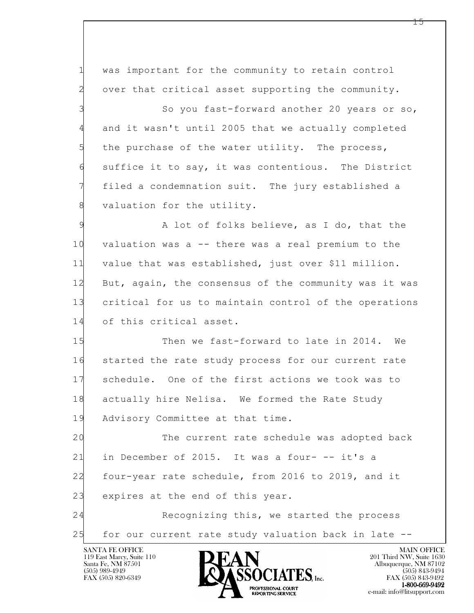l 1 was important for the community to retain control 2 over that critical asset supporting the community. 3 So you fast-forward another 20 years or so, 4 and it wasn't until 2005 that we actually completed 5 the purchase of the water utility. The process, 6 suffice it to say, it was contentious. The District 7 filed a condemnation suit. The jury established a 8 valuation for the utility. 9 A lot of folks believe, as I do, that the 10 valuation was a -- there was a real premium to the 11 value that was established, just over \$11 million. 12 But, again, the consensus of the community was it was 13 critical for us to maintain control of the operations 14 of this critical asset. 15 Then we fast-forward to late in 2014. We 16 started the rate study process for our current rate 17 schedule. One of the first actions we took was to 18 actually hire Nelisa. We formed the Rate Study 19 Advisory Committee at that time. 20 The current rate schedule was adopted back 21 in December of 2015. It was a four- -- it's a 22 four-year rate schedule, from 2016 to 2019, and it 23 expires at the end of this year. 24 Recognizing this, we started the process 25 for our current rate study valuation back in late --

119 East Marcy, Suite 110<br>Santa Fe, NM 87501

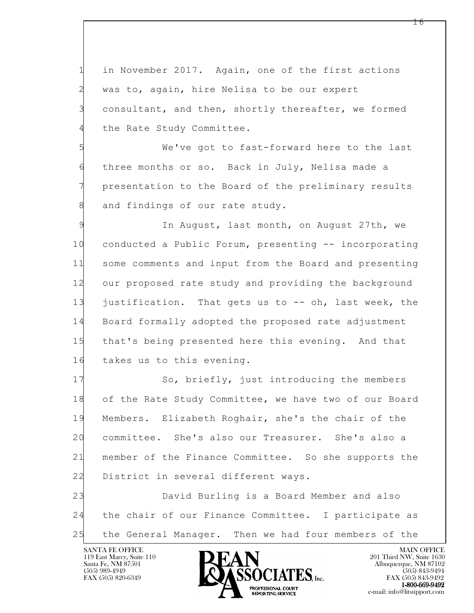1 in November 2017. Again, one of the first actions 2 was to, again, hire Nelisa to be our expert 3 consultant, and then, shortly thereafter, we formed 4 the Rate Study Committee.

5 We've got to fast-forward here to the last 6 three months or so. Back in July, Nelisa made a 7 presentation to the Board of the preliminary results 8 and findings of our rate study.

9 In August, last month, on August 27th, we 10 conducted a Public Forum, presenting -- incorporating 11 some comments and input from the Board and presenting 12 our proposed rate study and providing the background 13 justification. That gets us to -- oh, last week, the 14 Board formally adopted the proposed rate adjustment 15 that's being presented here this evening. And that 16 takes us to this evening.

17 So, briefly, just introducing the members 18 of the Rate Study Committee, we have two of our Board 19 Members. Elizabeth Roghair, she's the chair of the 20 committee. She's also our Treasurer. She's also a 21 member of the Finance Committee. So she supports the 22 District in several different ways.

l 23 David Burling is a Board Member and also 24 the chair of our Finance Committee. I participate as 25 the General Manager. Then we had four members of the

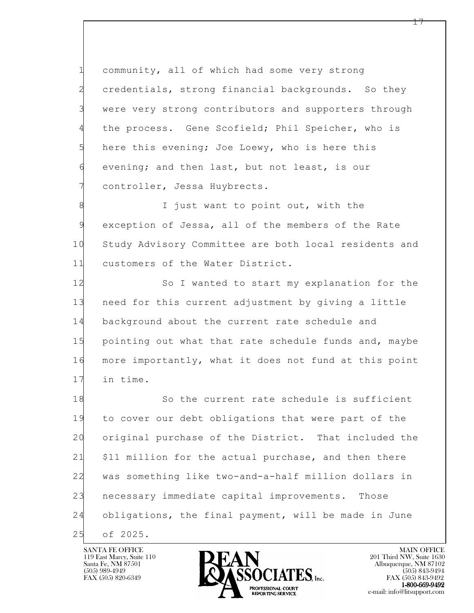1 community, all of which had some very strong 2 credentials, strong financial backgrounds. So they 3 were very strong contributors and supporters through 4 the process. Gene Scofield; Phil Speicher, who is 5 here this evening; Joe Loewy, who is here this 6 evening; and then last, but not least, is our 7 controller, Jessa Huybrects.

8 **I** just want to point out, with the 9 exception of Jessa, all of the members of the Rate 10 Study Advisory Committee are both local residents and 11 customers of the Water District.

12 So I wanted to start my explanation for the 13 need for this current adjustment by giving a little 14 background about the current rate schedule and 15 pointing out what that rate schedule funds and, maybe 16 more importantly, what it does not fund at this point 17 in time.

l 18 So the current rate schedule is sufficient 19 to cover our debt obligations that were part of the 20 original purchase of the District. That included the 21 \$11 million for the actual purchase, and then there 22 was something like two-and-a-half million dollars in 23 necessary immediate capital improvements. Those 24 obligations, the final payment, will be made in June 25 of 2025.

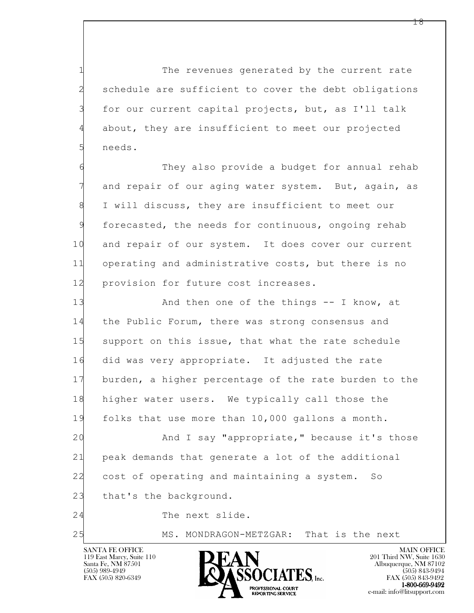1 The revenues generated by the current rate 2 schedule are sufficient to cover the debt obligations 3 for our current capital projects, but, as I'll talk 4 about, they are insufficient to meet our projected 5 needs.

6 They also provide a budget for annual rehab 7 and repair of our aging water system. But, again, as 8 I will discuss, they are insufficient to meet our 9 forecasted, the needs for continuous, ongoing rehab 10 and repair of our system. It does cover our current 11 operating and administrative costs, but there is no 12 provision for future cost increases.

13 And then one of the things -- I know, at 14 the Public Forum, there was strong consensus and 15 support on this issue, that what the rate schedule 16 did was very appropriate. It adjusted the rate 17 burden, a higher percentage of the rate burden to the 18 higher water users. We typically call those the 19 folks that use more than 10,000 gallons a month.

l 20 And I say "appropriate," because it's those 21 peak demands that generate a lot of the additional 22 cost of operating and maintaining a system. So 23 that's the background.

24 The next slide.

25 MS. MONDRAGON-METZGAR: That is the next



FAX (505) 843-9492 e-mail: info@litsupport.com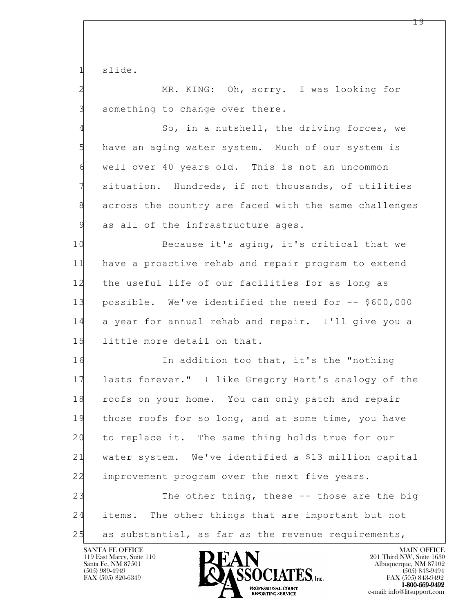1 slide.

2 MR. KING: Oh, sorry. I was looking for 3 something to change over there.

4 So, in a nutshell, the driving forces, we 5 have an aging water system. Much of our system is 6 well over 40 years old. This is not an uncommon 7 situation. Hundreds, if not thousands, of utilities 8 across the country are faced with the same challenges 9 as all of the infrastructure ages.

10 Because it's aging, it's critical that we 11 have a proactive rehab and repair program to extend 12 the useful life of our facilities for as long as 13 possible. We've identified the need for -- \$600,000 14 a year for annual rehab and repair. I'll give you a 15 little more detail on that.

l 16 In addition too that, it's the "nothing 17 lasts forever." I like Gregory Hart's analogy of the 18 roofs on your home. You can only patch and repair 19 those roofs for so long, and at some time, you have 20 to replace it. The same thing holds true for our 21 water system. We've identified a \$13 million capital 22 improvement program over the next five years. 23 The other thing, these -- those are the big 24 items. The other things that are important but not

25 as substantial, as far as the revenue requirements,

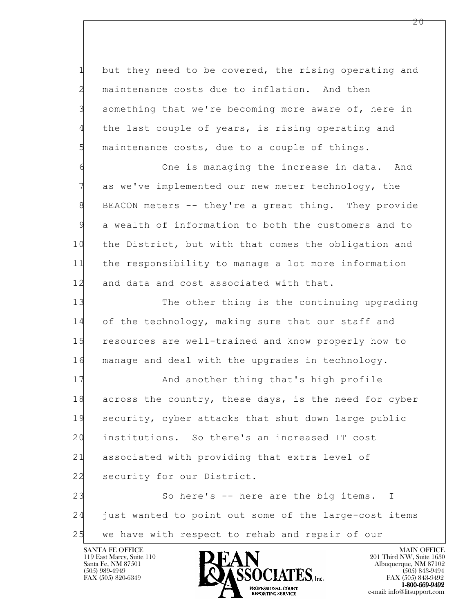1 but they need to be covered, the rising operating and 2 maintenance costs due to inflation. And then 3 something that we're becoming more aware of, here in 4 the last couple of years, is rising operating and 5 maintenance costs, due to a couple of things.

6 One is managing the increase in data. And 7 as we've implemented our new meter technology, the 8 BEACON meters -- they're a great thing. They provide 9 a wealth of information to both the customers and to 10 the District, but with that comes the obligation and 11 the responsibility to manage a lot more information 12 and data and cost associated with that.

13 The other thing is the continuing upgrading 14 of the technology, making sure that our staff and 15 resources are well-trained and know properly how to 16 manage and deal with the upgrades in technology.

17 And another thing that's high profile 18 across the country, these days, is the need for cyber 19 security, cyber attacks that shut down large public 20 institutions. So there's an increased IT cost 21 associated with providing that extra level of 22 security for our District.

l 23 So here's -- here are the big items. I 24 just wanted to point out some of the large-cost items 25 we have with respect to rehab and repair of our

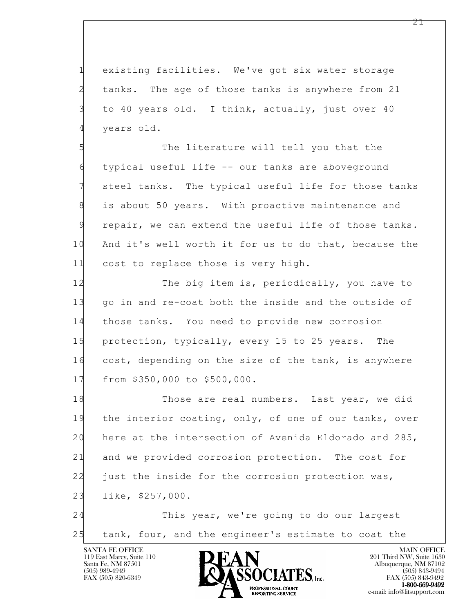1 existing facilities. We've got six water storage 2 tanks. The age of those tanks is anywhere from 21 3 to 40 years old. I think, actually, just over 40 4 years old.

5 The literature will tell you that the 6 typical useful life -- our tanks are aboveground 7 steel tanks. The typical useful life for those tanks 8 is about 50 years. With proactive maintenance and 9 repair, we can extend the useful life of those tanks. 10 And it's well worth it for us to do that, because the 11 cost to replace those is very high.

12 The big item is, periodically, you have to 13 go in and re-coat both the inside and the outside of 14 those tanks. You need to provide new corrosion 15 protection, typically, every 15 to 25 years. The 16 cost, depending on the size of the tank, is anywhere 17 from \$350,000 to \$500,000.

l 18 Those are real numbers. Last year, we did 19 the interior coating, only, of one of our tanks, over 20 here at the intersection of Avenida Eldorado and 285, 21 and we provided corrosion protection. The cost for 22 just the inside for the corrosion protection was, 23 like, \$257,000.

24 This year, we're going to do our largest 25 tank, four, and the engineer's estimate to coat the

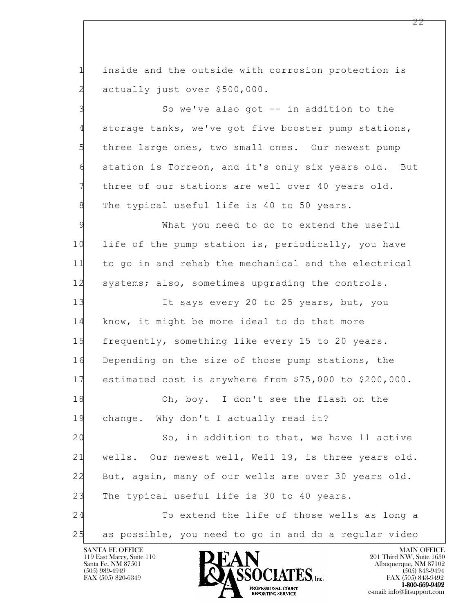1 inside and the outside with corrosion protection is 2 actually just over \$500,000.

3 So we've also got -- in addition to the 4 storage tanks, we've got five booster pump stations, 5 three large ones, two small ones. Our newest pump 6 station is Torreon, and it's only six years old. But 7 three of our stations are well over 40 years old. 8 The typical useful life is 40 to 50 years.

9 What you need to do to extend the useful 10 life of the pump station is, periodically, you have 11 to go in and rehab the mechanical and the electrical 12 systems; also, sometimes upgrading the controls.

13 It says every 20 to 25 years, but, you 14 know, it might be more ideal to do that more 15 frequently, something like every 15 to 20 years. 16 Depending on the size of those pump stations, the 17 estimated cost is anywhere from \$75,000 to \$200,000.

18 Oh, boy. I don't see the flash on the 19 change. Why don't I actually read it?

l 20 So, in addition to that, we have 11 active 21 wells. Our newest well, Well 19, is three years old. 22 But, again, many of our wells are over 30 years old. 23 The typical useful life is 30 to 40 years. 24 To extend the life of those wells as long a

25 as possible, you need to go in and do a regular video

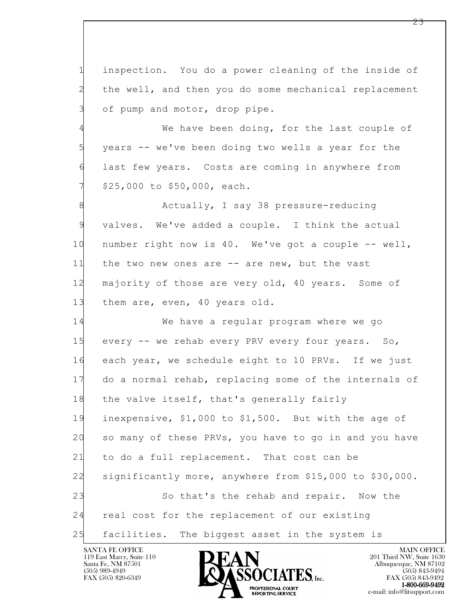1 inspection. You do a power cleaning of the inside of 2 the well, and then you do some mechanical replacement 3 of pump and motor, drop pipe.

4 We have been doing, for the last couple of 5 years -- we've been doing two wells a year for the 6 last few years. Costs are coming in anywhere from 7 \$25,000 to \$50,000, each.

8 Actually, I say 38 pressure-reducing 9 valves. We've added a couple. I think the actual 10 number right now is 40. We've got a couple -- well, 11 the two new ones are -- are new, but the vast 12 majority of those are very old, 40 years. Some of 13 them are, even, 40 years old.

l 14 We have a regular program where we go 15 every -- we rehab every PRV every four years. So, 16 each year, we schedule eight to 10 PRVs. If we just 17 do a normal rehab, replacing some of the internals of 18 the valve itself, that's generally fairly 19 inexpensive, \$1,000 to \$1,500. But with the age of 20 so many of these PRVs, you have to go in and you have 21 to do a full replacement. That cost can be 22 significantly more, anywhere from \$15,000 to \$30,000. 23 So that's the rehab and repair. Now the 24 real cost for the replacement of our existing 25 facilities. The biggest asset in the system is

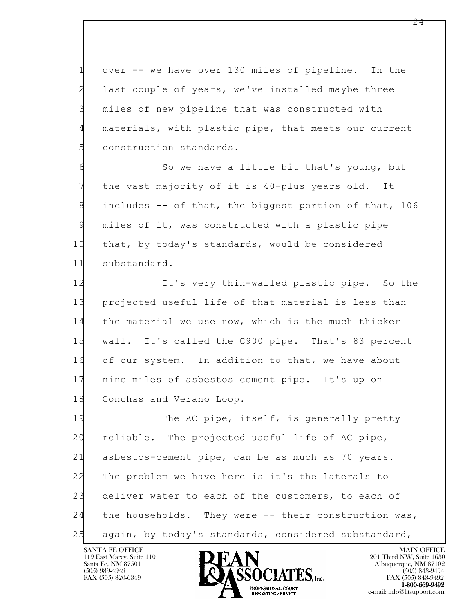1 over -- we have over 130 miles of pipeline. In the 2 last couple of years, we've installed maybe three 3 miles of new pipeline that was constructed with 4 materials, with plastic pipe, that meets our current 5 construction standards.

6 So we have a little bit that's young, but 7 the vast majority of it is 40-plus years old. It 8 includes -- of that, the biggest portion of that, 106 9 miles of it, was constructed with a plastic pipe 10 that, by today's standards, would be considered 11 substandard.

12 It's very thin-walled plastic pipe. So the 13 projected useful life of that material is less than 14 the material we use now, which is the much thicker 15 wall. It's called the C900 pipe. That's 83 percent 16 of our system. In addition to that, we have about 17 nine miles of asbestos cement pipe. It's up on 18 Conchas and Verano Loop.

l 19 The AC pipe, itself, is generally pretty 20 reliable. The projected useful life of AC pipe, 21 asbestos-cement pipe, can be as much as 70 years. 22 The problem we have here is it's the laterals to 23 deliver water to each of the customers, to each of 24 the households. They were -- their construction was, 25 again, by today's standards, considered substandard,

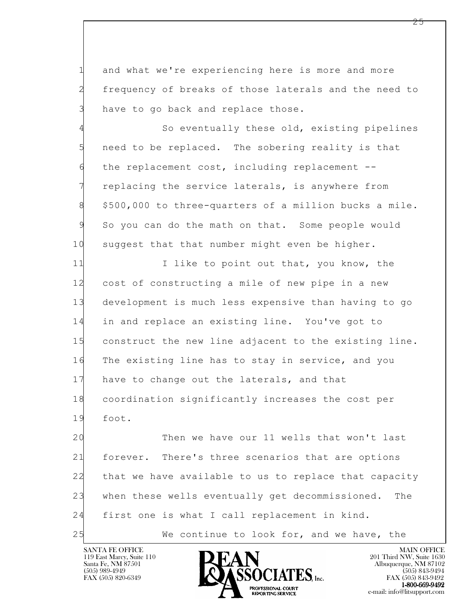1 and what we're experiencing here is more and more 2 frequency of breaks of those laterals and the need to 3 have to go back and replace those.

4 So eventually these old, existing pipelines 5 need to be replaced. The sobering reality is that 6 the replacement cost, including replacement -- 7 replacing the service laterals, is anywhere from 8 \$500,000 to three-quarters of a million bucks a mile. 9 So you can do the math on that. Some people would 10 suggest that that number might even be higher.

11 I like to point out that, you know, the 12 cost of constructing a mile of new pipe in a new 13 development is much less expensive than having to go 14 in and replace an existing line. You've got to 15 construct the new line adjacent to the existing line. 16 The existing line has to stay in service, and you 17 have to change out the laterals, and that 18 coordination significantly increases the cost per 19 foot.

l 20 Then we have our 11 wells that won't last 21 forever. There's three scenarios that are options 22 that we have available to us to replace that capacity 23 when these wells eventually get decommissioned. The 24 first one is what I call replacement in kind. 25 We continue to look for, and we have, the

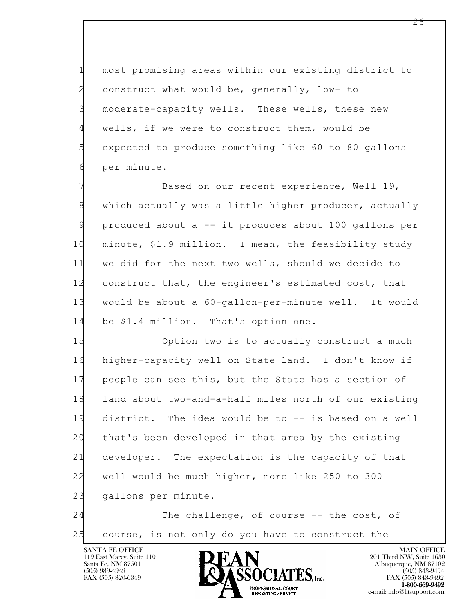1 most promising areas within our existing district to 2 construct what would be, generally, low- to 3 moderate-capacity wells. These wells, these new 4 wells, if we were to construct them, would be 5 expected to produce something like 60 to 80 gallons 6 per minute.

Based on our recent experience, Well 19, 8 which actually was a little higher producer, actually 9 produced about a -- it produces about 100 gallons per 10 minute, \$1.9 million. I mean, the feasibility study 11 we did for the next two wells, should we decide to 12 construct that, the engineer's estimated cost, that 13 would be about a 60-gallon-per-minute well. It would 14 be \$1.4 million. That's option one.

l 15 Option two is to actually construct a much 16 higher-capacity well on State land. I don't know if 17 people can see this, but the State has a section of 18 land about two-and-a-half miles north of our existing 19 district. The idea would be to -- is based on a well 20 that's been developed in that area by the existing 21 developer. The expectation is the capacity of that 22 well would be much higher, more like 250 to 300 23 gallons per minute.

24 The challenge, of course -- the cost, of 25 course, is not only do you have to construct the

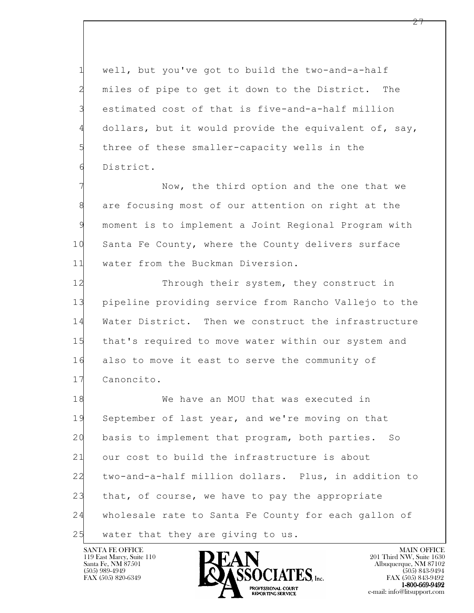1 well, but you've got to build the two-and-a-half 2 miles of pipe to get it down to the District. The 3 estimated cost of that is five-and-a-half million 4 dollars, but it would provide the equivalent of, say, 5 three of these smaller-capacity wells in the 6 District.

Now, the third option and the one that we 8 are focusing most of our attention on right at the 9 moment is to implement a Joint Regional Program with 10 Santa Fe County, where the County delivers surface 11 water from the Buckman Diversion.

12 Through their system, they construct in 13 pipeline providing service from Rancho Vallejo to the 14 Water District. Then we construct the infrastructure 15 that's required to move water within our system and 16 also to move it east to serve the community of 17 Canoncito.

l 18 We have an MOU that was executed in 19 September of last year, and we're moving on that 20 basis to implement that program, both parties. So 21 our cost to build the infrastructure is about 22 two-and-a-half million dollars. Plus, in addition to 23 that, of course, we have to pay the appropriate 24 wholesale rate to Santa Fe County for each gallon of 25 water that they are giving to us.

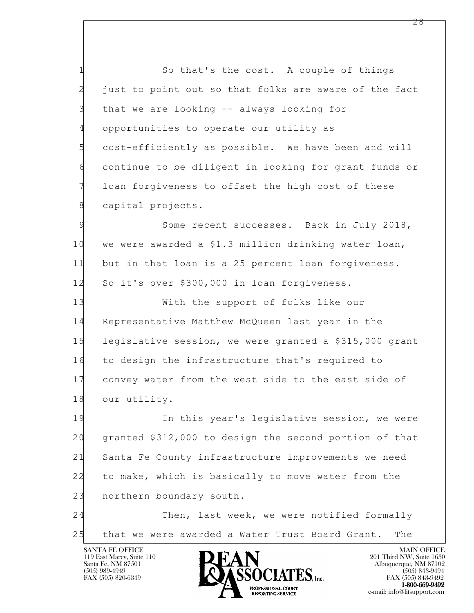1 So that's the cost. A couple of things 2 just to point out so that folks are aware of the fact 3 that we are looking -- always looking for 4 opportunities to operate our utility as 5 cost-efficiently as possible. We have been and will 6 continue to be diligent in looking for grant funds or 7 loan forgiveness to offset the high cost of these 8 capital projects.

9 Some recent successes. Back in July 2018, 10 we were awarded a \$1.3 million drinking water loan, 11 but in that loan is a 25 percent loan forgiveness. 12 So it's over \$300,000 in loan forgiveness.

13 With the support of folks like our 14 Representative Matthew McQueen last year in the 15 legislative session, we were granted a \$315,000 grant 16 to design the infrastructure that's required to 17 convey water from the west side to the east side of 18 our utility.

l 19 In this year's legislative session, we were 20 granted \$312,000 to design the second portion of that 21 Santa Fe County infrastructure improvements we need 22 to make, which is basically to move water from the 23 northern boundary south.

24 Then, last week, we were notified formally 25 that we were awarded a Water Trust Board Grant. The

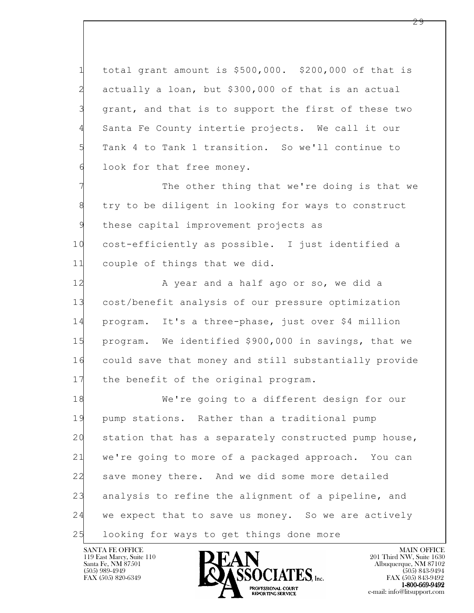1 total grant amount is \$500,000. \$200,000 of that is 2 actually a loan, but \$300,000 of that is an actual 3 grant, and that is to support the first of these two 4 Santa Fe County intertie projects. We call it our 5 Tank 4 to Tank 1 transition. So we'll continue to 6 look for that free money.

7 The other thing that we're doing is that we 8 try to be diligent in looking for ways to construct 9 these capital improvement projects as 10 cost-efficiently as possible. I just identified a 11 couple of things that we did.

12 A year and a half ago or so, we did a 13 cost/benefit analysis of our pressure optimization 14 program. It's a three-phase, just over \$4 million 15 program. We identified \$900,000 in savings, that we 16 could save that money and still substantially provide 17 the benefit of the original program.

l 18 We're going to a different design for our 19 pump stations. Rather than a traditional pump 20 station that has a separately constructed pump house, 21 we're going to more of a packaged approach. You can 22 save money there. And we did some more detailed 23 analysis to refine the alignment of a pipeline, and 24 we expect that to save us money. So we are actively 25 looking for ways to get things done more

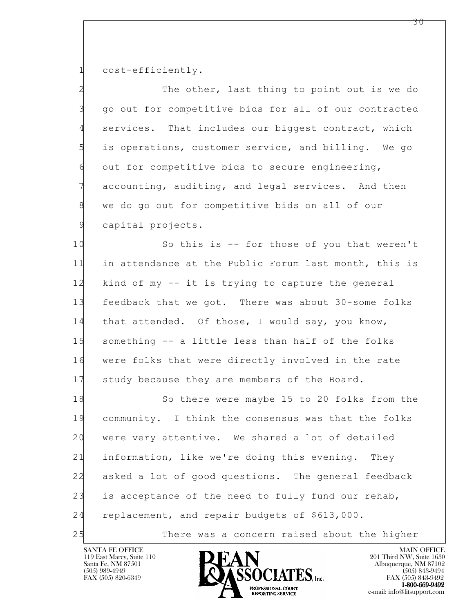1 cost-efficiently.

2 The other, last thing to point out is we do 3 go out for competitive bids for all of our contracted 4 services. That includes our biggest contract, which 5 is operations, customer service, and billing. We go 6 out for competitive bids to secure engineering, 7 accounting, auditing, and legal services. And then 8 we do go out for competitive bids on all of our 9 capital projects.

10 So this is -- for those of you that weren't 11 in attendance at the Public Forum last month, this is 12 kind of my -- it is trying to capture the general 13 feedback that we got. There was about 30-some folks 14 that attended. Of those, I would say, you know, 15 something -- a little less than half of the folks 16 were folks that were directly involved in the rate 17 study because they are members of the Board.

l 18 So there were maybe 15 to 20 folks from the 19 community. I think the consensus was that the folks 20 were very attentive. We shared a lot of detailed 21 information, like we're doing this evening. They 22 asked a lot of good questions. The general feedback 23 is acceptance of the need to fully fund our rehab, 24 replacement, and repair budgets of \$613,000. 25 There was a concern raised about the higher

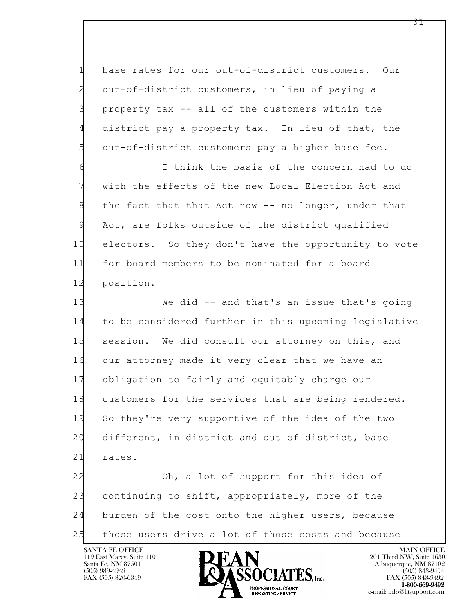1 base rates for our out-of-district customers. Our 2 out-of-district customers, in lieu of paying a 3 property tax -- all of the customers within the 4 district pay a property tax. In lieu of that, the 5 out-of-district customers pay a higher base fee.

6 I think the basis of the concern had to do 7 with the effects of the new Local Election Act and 8 the fact that that Act now -- no longer, under that 9 Act, are folks outside of the district qualified 10 electors. So they don't have the opportunity to vote 11 for board members to be nominated for a board 12 position.

13 We did -- and that's an issue that's going 14 to be considered further in this upcoming legislative 15 session. We did consult our attorney on this, and 16 our attorney made it very clear that we have an 17 obligation to fairly and equitably charge our 18 customers for the services that are being rendered. 19 So they're very supportive of the idea of the two 20 different, in district and out of district, base 21 rates.

l 22 Oh, a lot of support for this idea of 23 continuing to shift, appropriately, more of the 24 burden of the cost onto the higher users, because 25 those users drive a lot of those costs and because

119 East Marcy, Suite 110<br>Santa Fe, NM 87501



 $FAX (505) 843-9492$ <br>1-800-669-9492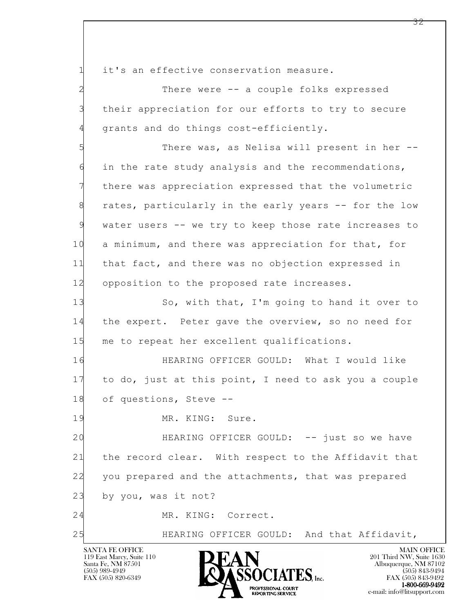1 it's an effective conservation measure.

2 There were -- a couple folks expressed 3 their appreciation for our efforts to try to secure 4 grants and do things cost-efficiently.

5 There was, as Nelisa will present in her -- 6 in the rate study analysis and the recommendations, 7 there was appreciation expressed that the volumetric 8 rates, particularly in the early years -- for the low 9 water users -- we try to keep those rate increases to 10 a minimum, and there was appreciation for that, for 11 that fact, and there was no objection expressed in 12 opposition to the proposed rate increases.

13 So, with that, I'm going to hand it over to 14 the expert. Peter gave the overview, so no need for 15 me to repeat her excellent qualifications.

16 HEARING OFFICER GOULD: What I would like 17 to do, just at this point, I need to ask you a couple 18 of questions, Steve --

19 MR. KING: Sure.

l 20 HEARING OFFICER GOULD: -- just so we have 21 the record clear. With respect to the Affidavit that 22 you prepared and the attachments, that was prepared 23 by you, was it not?

24 MR. KING: Correct.

25 HEARING OFFICER GOULD: And that Affidavit,

119 East Marcy, Suite 110<br>Santa Fe, NM 87501

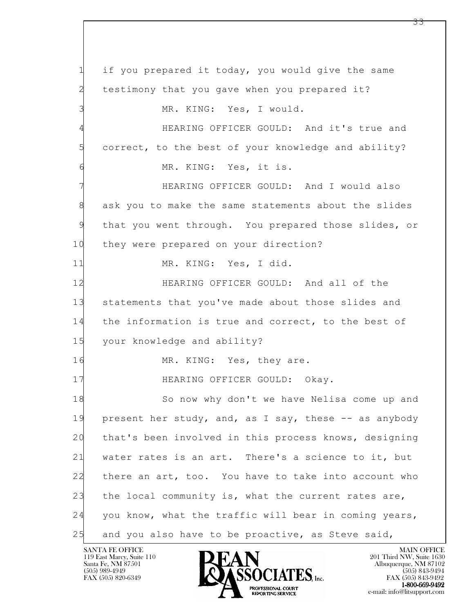l 1 if you prepared it today, you would give the same 2 testimony that you gave when you prepared it? 3 MR. KING: Yes, I would. 4 HEARING OFFICER GOULD: And it's true and 5 correct, to the best of your knowledge and ability? 6 MR. KING: Yes, it is. 7 HEARING OFFICER GOULD: And I would also 8 ask you to make the same statements about the slides 9 that you went through. You prepared those slides, or 10 they were prepared on your direction? 11 MR. KING: Yes, I did. 12 HEARING OFFICER GOULD: And all of the 13 statements that you've made about those slides and 14 the information is true and correct, to the best of 15 your knowledge and ability? 16 MR. KING: Yes, they are. 17 **HEARING OFFICER GOULD:** Okay. 18 So now why don't we have Nelisa come up and 19 present her study, and, as I say, these -- as anybody 20 that's been involved in this process knows, designing 21 water rates is an art. There's a science to it, but 22 there an art, too. You have to take into account who 23 the local community is, what the current rates are, 24 you know, what the traffic will bear in coming years, 25 and you also have to be proactive, as Steve said,

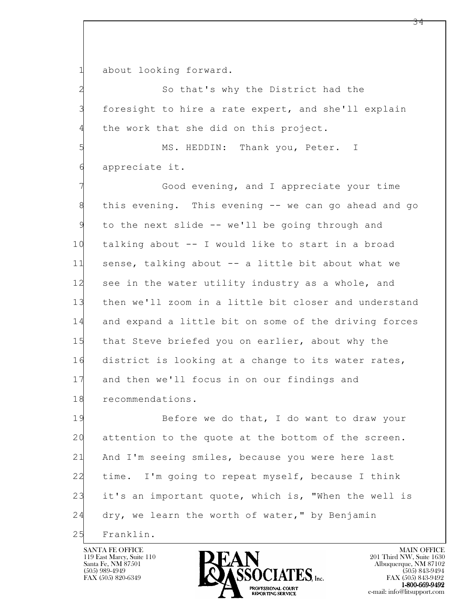1 about looking forward.

2 So that's why the District had the 3 foresight to hire a rate expert, and she'll explain 4 the work that she did on this project.

5 MS. HEDDIN: Thank you, Peter. I 6 appreciate it.

7 Good evening, and I appreciate your time 8 this evening. This evening -- we can go ahead and go 9 to the next slide -- we'll be going through and 10 talking about -- I would like to start in a broad 11 sense, talking about -- a little bit about what we 12 see in the water utility industry as a whole, and 13 then we'll zoom in a little bit closer and understand 14 and expand a little bit on some of the driving forces 15 that Steve briefed you on earlier, about why the 16 district is looking at a change to its water rates, 17 and then we'll focus in on our findings and 18 recommendations.

l 19 Before we do that, I do want to draw your 20 attention to the quote at the bottom of the screen. 21 And I'm seeing smiles, because you were here last 22 time. I'm going to repeat myself, because I think 23 it's an important quote, which is, "When the well is 24 dry, we learn the worth of water," by Benjamin 25 Franklin.

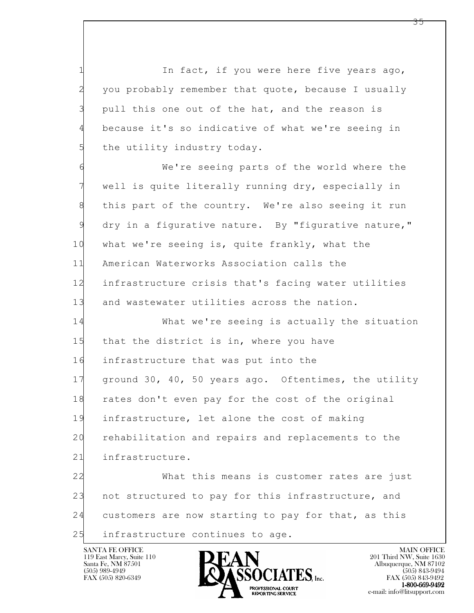1 1 In fact, if you were here five years ago, 2 you probably remember that quote, because I usually 3 pull this one out of the hat, and the reason is 4 because it's so indicative of what we're seeing in 5 the utility industry today.

6 We're seeing parts of the world where the 7 well is quite literally running dry, especially in 8 this part of the country. We're also seeing it run 9 dry in a figurative nature. By "figurative nature," 10 what we're seeing is, quite frankly, what the 11 American Waterworks Association calls the 12 infrastructure crisis that's facing water utilities 13 and wastewater utilities across the nation.

14 What we're seeing is actually the situation 15 that the district is in, where you have 16 infrastructure that was put into the 17 ground 30, 40, 50 years ago. Oftentimes, the utility 18 rates don't even pay for the cost of the original 19 infrastructure, let alone the cost of making 20 rehabilitation and repairs and replacements to the 21 infrastructure. 22 What this means is customer rates are just

l 23 not structured to pay for this infrastructure, and 24 customers are now starting to pay for that, as this 25 infrastructure continues to age.

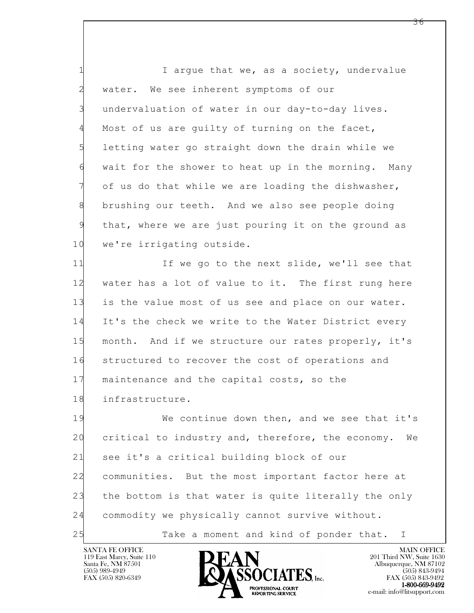1 I argue that we, as a society, undervalue 2 water. We see inherent symptoms of our 3 undervaluation of water in our day-to-day lives. 4 Most of us are guilty of turning on the facet, 5 letting water go straight down the drain while we 6 wait for the shower to heat up in the morning. Many 7 of us do that while we are loading the dishwasher, 8 brushing our teeth. And we also see people doing 9 that, where we are just pouring it on the ground as 10 we're irrigating outside.

11 If we go to the next slide, we'll see that 12 water has a lot of value to it. The first rung here 13 is the value most of us see and place on our water. 14 It's the check we write to the Water District every 15 month. And if we structure our rates properly, it's 16 structured to recover the cost of operations and 17 maintenance and the capital costs, so the 18 infrastructure.

l 19 We continue down then, and we see that it's 20 critical to industry and, therefore, the economy. We 21 see it's a critical building block of our 22 communities. But the most important factor here at 23 the bottom is that water is quite literally the only 24 commodity we physically cannot survive without. 25 Take a moment and kind of ponder that. I

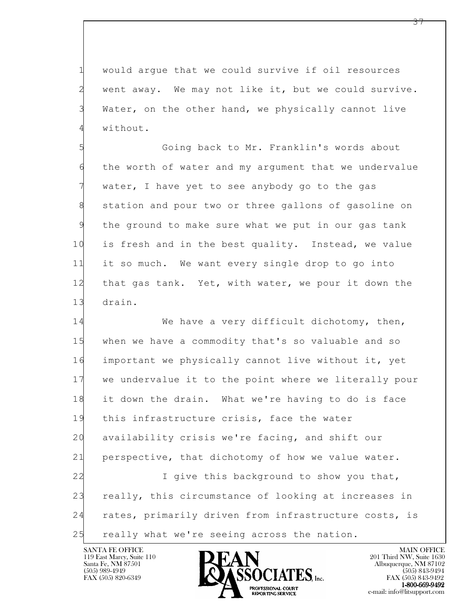1 would argue that we could survive if oil resources 2 went away. We may not like it, but we could survive. 3 Water, on the other hand, we physically cannot live 4 without.

5 Going back to Mr. Franklin's words about 6 the worth of water and my argument that we undervalue 7 water, I have yet to see anybody go to the gas 8 station and pour two or three gallons of gasoline on 9 the ground to make sure what we put in our gas tank 10 is fresh and in the best quality. Instead, we value 11 it so much. We want every single drop to go into 12 that gas tank. Yet, with water, we pour it down the 13 drain.

l 14 We have a very difficult dichotomy, then, 15 when we have a commodity that's so valuable and so 16 important we physically cannot live without it, yet 17 we undervalue it to the point where we literally pour 18 it down the drain. What we're having to do is face 19 this infrastructure crisis, face the water 20 availability crisis we're facing, and shift our 21 perspective, that dichotomy of how we value water. 22 I give this background to show you that, 23 really, this circumstance of looking at increases in 24 rates, primarily driven from infrastructure costs, is 25 really what we're seeing across the nation.

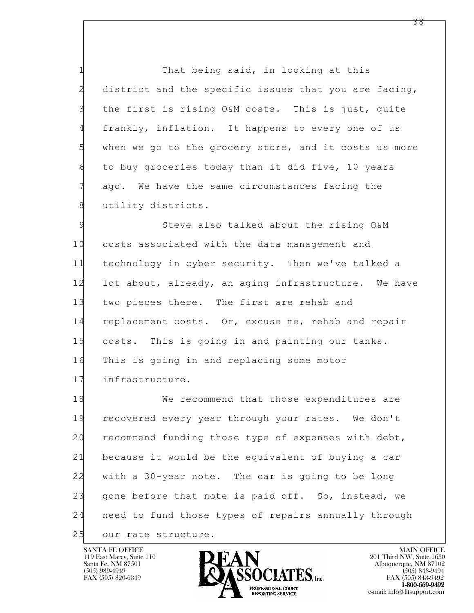1 That being said, in looking at this 2 district and the specific issues that you are facing, 3 the first is rising O&M costs. This is just, quite 4 frankly, inflation. It happens to every one of us 5 when we go to the grocery store, and it costs us more 6 to buy groceries today than it did five, 10 years 7 ago. We have the same circumstances facing the 8 utility districts.

9 Steve also talked about the rising O&M 10 costs associated with the data management and 11 technology in cyber security. Then we've talked a 12 lot about, already, an aging infrastructure. We have 13 two pieces there. The first are rehab and 14 replacement costs. Or, excuse me, rehab and repair 15 costs. This is going in and painting our tanks. 16 This is going in and replacing some motor 17 infrastructure.

l 18 We recommend that those expenditures are 19 recovered every year through your rates. We don't 20 recommend funding those type of expenses with debt, 21 because it would be the equivalent of buying a car 22 with a 30-year note. The car is going to be long 23 gone before that note is paid off. So, instead, we 24 need to fund those types of repairs annually through 25 our rate structure.

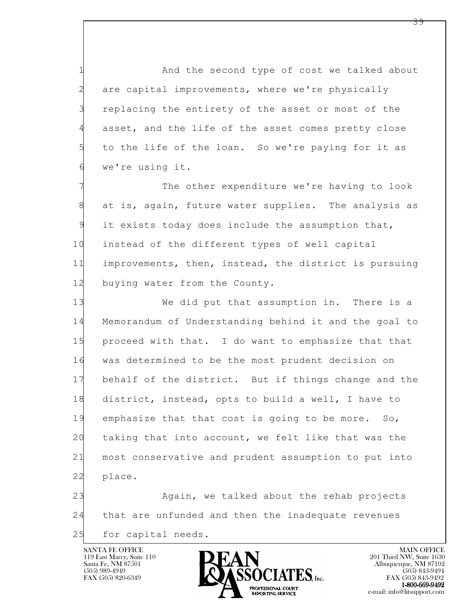1 And the second type of cost we talked about 2 are capital improvements, where we're physically 3 replacing the entirety of the asset or most of the 4 asset, and the life of the asset comes pretty close 5 to the life of the loan. So we're paying for it as 6 we're using it.

7 The other expenditure we're having to look 8 at is, again, future water supplies. The analysis as 9 it exists today does include the assumption that, 10 instead of the different types of well capital 11 improvements, then, instead, the district is pursuing 12 buying water from the County.

13 We did put that assumption in. There is a 14 Memorandum of Understanding behind it and the goal to 15 proceed with that. I do want to emphasize that that 16 was determined to be the most prudent decision on 17 behalf of the district. But if things change and the 18 district, instead, opts to build a well, I have to 19 emphasize that that cost is going to be more. So, 20 taking that into account, we felt like that was the 21 most conservative and prudent assumption to put into 22 place.

l 23 Again, we talked about the rehab projects 24 that are unfunded and then the inadequate revenues 25 for capital needs.



 $FAX (505) 843-9492$ <br>1-800-669-9492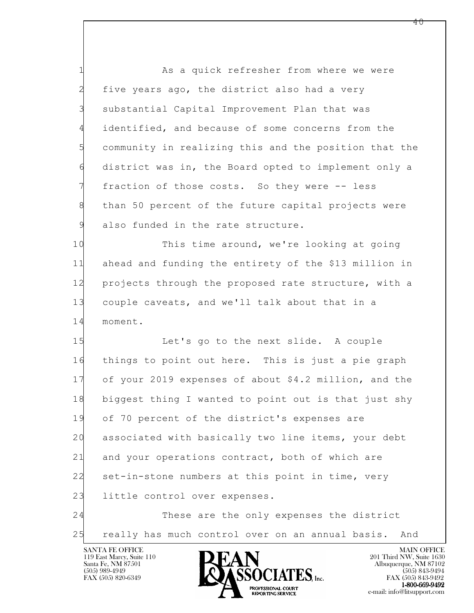1 As a quick refresher from where we were 2 five years ago, the district also had a very 3 substantial Capital Improvement Plan that was 4 identified, and because of some concerns from the 5 community in realizing this and the position that the 6 district was in, the Board opted to implement only a 7 fraction of those costs. So they were -- less 8 than 50 percent of the future capital projects were 9 also funded in the rate structure.

10 This time around, we're looking at going 11 ahead and funding the entirety of the \$13 million in 12 projects through the proposed rate structure, with a 13 couple caveats, and we'll talk about that in a 14 moment.

l 15 Let's go to the next slide. A couple 16 things to point out here. This is just a pie graph 17 of your 2019 expenses of about \$4.2 million, and the 18 biggest thing I wanted to point out is that just shy 19 of 70 percent of the district's expenses are 20 associated with basically two line items, your debt 21 and your operations contract, both of which are 22 set-in-stone numbers at this point in time, very 23 little control over expenses. 24 These are the only expenses the district

25 really has much control over on an annual basis. And

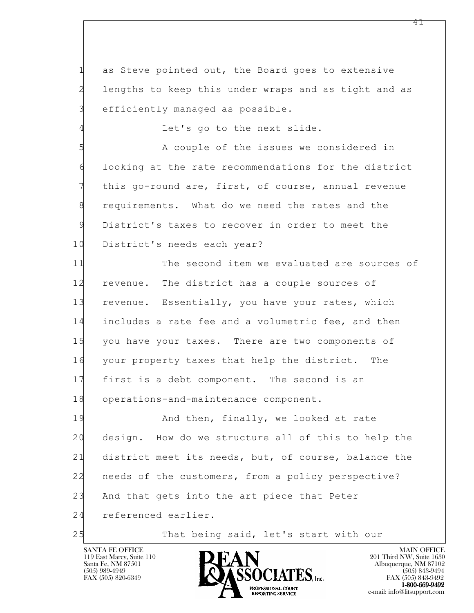1 as Steve pointed out, the Board goes to extensive 2 lengths to keep this under wraps and as tight and as 3 efficiently managed as possible.

4 Let's go to the next slide.

5 A couple of the issues we considered in 6 looking at the rate recommendations for the district 7 this go-round are, first, of course, annual revenue 8 requirements. What do we need the rates and the 9 District's taxes to recover in order to meet the 10 District's needs each year?

11 The second item we evaluated are sources of 12 revenue. The district has a couple sources of 13 revenue. Essentially, you have your rates, which 14 includes a rate fee and a volumetric fee, and then 15 you have your taxes. There are two components of 16 your property taxes that help the district. The 17 first is a debt component. The second is an 18 operations-and-maintenance component.

l 19 **And then, finally, we looked at rate** 20 design. How do we structure all of this to help the 21 district meet its needs, but, of course, balance the 22 needs of the customers, from a policy perspective? 23 And that gets into the art piece that Peter 24 referenced earlier.

25 That being said, let's start with our

119 East Marcy, Suite 110<br>Santa Fe, NM 87501



FAX (505) 843-9492 e-mail: info@litsupport.com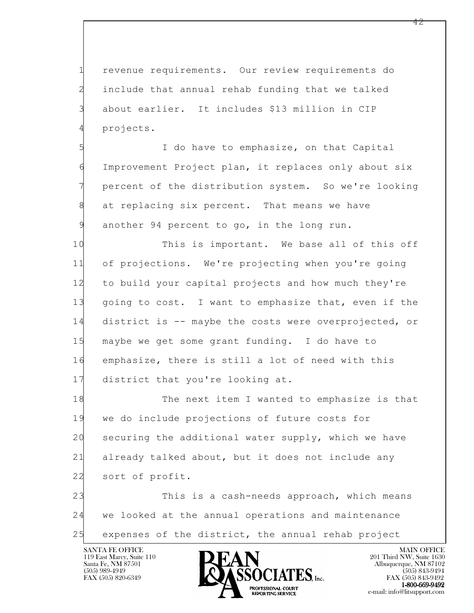1 revenue requirements. Our review requirements do 2 include that annual rehab funding that we talked 3 about earlier. It includes \$13 million in CIP 4 projects.

5 I do have to emphasize, on that Capital 6 Improvement Project plan, it replaces only about six 7 percent of the distribution system. So we're looking 8 at replacing six percent. That means we have 9 another 94 percent to go, in the long run.

10 This is important. We base all of this off 11 of projections. We're projecting when you're going 12 to build your capital projects and how much they're 13 going to cost. I want to emphasize that, even if the 14 district is -- maybe the costs were overprojected, or 15 maybe we get some grant funding. I do have to 16 emphasize, there is still a lot of need with this 17 district that you're looking at.

18 The next item I wanted to emphasize is that 19 we do include projections of future costs for 20 securing the additional water supply, which we have 21 already talked about, but it does not include any 22 sort of profit.

l 23 This is a cash-needs approach, which means 24 we looked at the annual operations and maintenance 25 expenses of the district, the annual rehab project

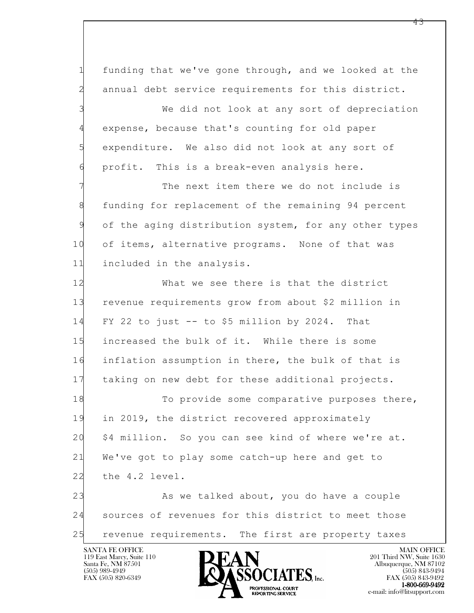1 funding that we've gone through, and we looked at the 2 annual debt service requirements for this district.

3 We did not look at any sort of depreciation 4 expense, because that's counting for old paper 5 expenditure. We also did not look at any sort of 6 profit. This is a break-even analysis here.

The next item there we do not include is 8 funding for replacement of the remaining 94 percent 9 of the aging distribution system, for any other types 10 of items, alternative programs. None of that was 11 included in the analysis.

12 What we see there is that the district 13 revenue requirements grow from about \$2 million in 14 FY 22 to just -- to \$5 million by 2024. That 15 increased the bulk of it. While there is some 16 inflation assumption in there, the bulk of that is 17 taking on new debt for these additional projects.

18 To provide some comparative purposes there, 19 in 2019, the district recovered approximately 20 \$4 million. So you can see kind of where we're at. 21 We've got to play some catch-up here and get to 22 the 4.2 level.

l 23 As we talked about, you do have a couple 24 sources of revenues for this district to meet those 25 revenue requirements. The first are property taxes

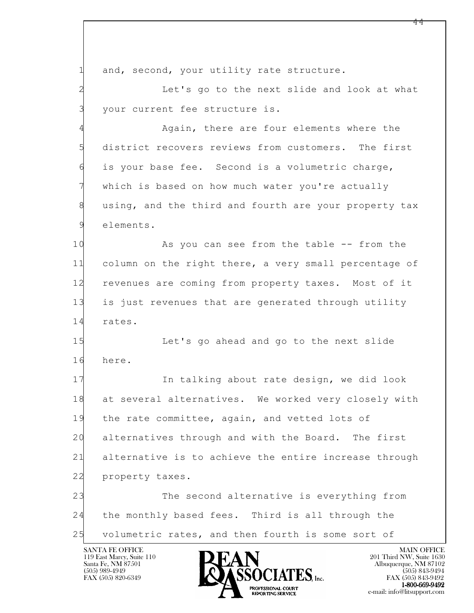1 and, second, your utility rate structure.

2 Let's go to the next slide and look at what 3 your current fee structure is.

4 Again, there are four elements where the 5 district recovers reviews from customers. The first 6 is your base fee. Second is a volumetric charge, which is based on how much water you're actually 8 using, and the third and fourth are your property tax 9 elements.

10 As you can see from the table -- from the 11 column on the right there, a very small percentage of 12 revenues are coming from property taxes. Most of it 13 is just revenues that are generated through utility 14 rates.

15 Let's go ahead and go to the next slide 16 here.

17 In talking about rate design, we did look 18 at several alternatives. We worked very closely with 19 the rate committee, again, and vetted lots of 20 alternatives through and with the Board. The first 21 alternative is to achieve the entire increase through 22 property taxes.

l 23 The second alternative is everything from 24 the monthly based fees. Third is all through the 25 volumetric rates, and then fourth is some sort of

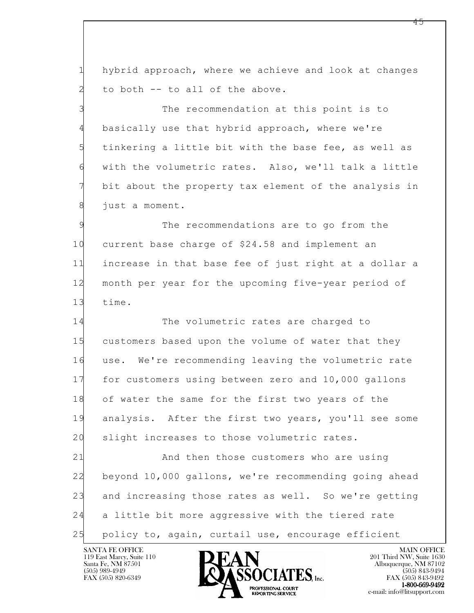1 hybrid approach, where we achieve and look at changes 2 to both -- to all of the above.

3 The recommendation at this point is to 4 basically use that hybrid approach, where we're 5 tinkering a little bit with the base fee, as well as 6 with the volumetric rates. Also, we'll talk a little 7 bit about the property tax element of the analysis in 8 just a moment.

9 The recommendations are to go from the 10 current base charge of \$24.58 and implement an 11 increase in that base fee of just right at a dollar a 12 month per year for the upcoming five-year period of 13 time.

14 The volumetric rates are charged to 15 customers based upon the volume of water that they 16 use. We're recommending leaving the volumetric rate 17 for customers using between zero and 10,000 gallons 18 of water the same for the first two years of the 19 analysis. After the first two years, you'll see some 20 slight increases to those volumetric rates.

l 21 And then those customers who are using 22 beyond 10,000 gallons, we're recommending going ahead 23 and increasing those rates as well. So we're getting 24 a little bit more aggressive with the tiered rate 25 policy to, again, curtail use, encourage efficient

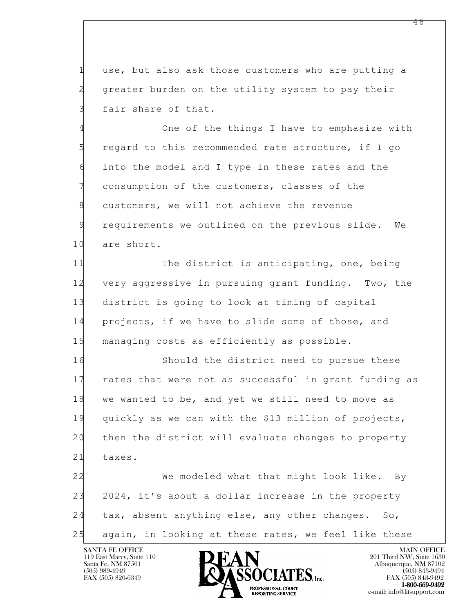1 use, but also ask those customers who are putting a 2 greater burden on the utility system to pay their 3 fair share of that.

4 One of the things I have to emphasize with 5 regard to this recommended rate structure, if I go 6 into the model and I type in these rates and the 7 consumption of the customers, classes of the 8 customers, we will not achieve the revenue 9 requirements we outlined on the previous slide. We 10 are short.

11 The district is anticipating, one, being 12 very aggressive in pursuing grant funding. Two, the 13 district is going to look at timing of capital 14 projects, if we have to slide some of those, and 15 managing costs as efficiently as possible.

16 Should the district need to pursue these 17 rates that were not as successful in grant funding as 18 we wanted to be, and yet we still need to move as 19 quickly as we can with the \$13 million of projects, 20 then the district will evaluate changes to property 21 taxes. 22 We modeled what that might look like. By

l 23 2024, it's about a dollar increase in the property 24 tax, absent anything else, any other changes. So, 25 again, in looking at these rates, we feel like these

119 East Marcy, Suite 110<br>Santa Fe, NM 87501

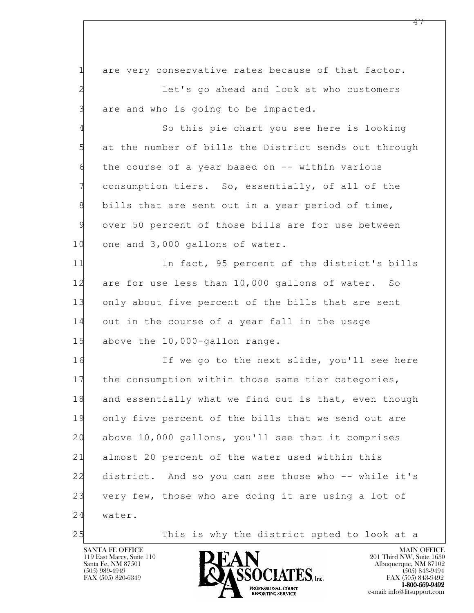1 are very conservative rates because of that factor. 2 Let's go ahead and look at who customers 3 are and who is going to be impacted.

4 So this pie chart you see here is looking 5 at the number of bills the District sends out through 6 the course of a year based on -- within various 7 consumption tiers. So, essentially, of all of the 8 bills that are sent out in a year period of time, 9 over 50 percent of those bills are for use between 10 one and 3,000 gallons of water.

11 In fact, 95 percent of the district's bills 12 are for use less than 10,000 gallons of water. So 13 only about five percent of the bills that are sent 14 out in the course of a year fall in the usage 15 above the 10,000-gallon range.

l 16 If we go to the next slide, you'll see here 17 the consumption within those same tier categories, 18 and essentially what we find out is that, even though 19 only five percent of the bills that we send out are 20 above 10,000 gallons, you'll see that it comprises 21 almost 20 percent of the water used within this 22 district. And so you can see those who -- while it's 23 very few, those who are doing it are using a lot of 24 water.

25 This is why the district opted to look at a

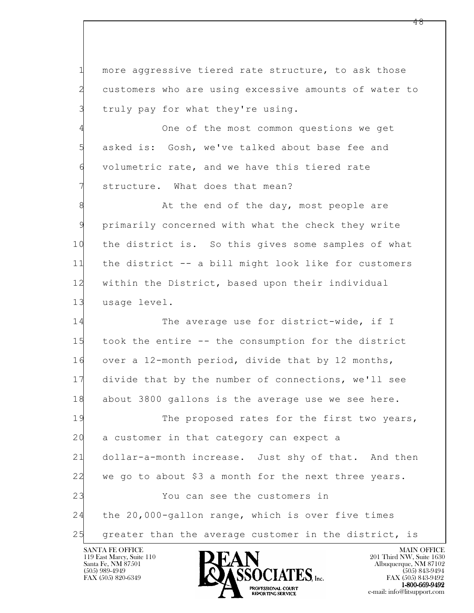1 more aggressive tiered rate structure, to ask those 2 customers who are using excessive amounts of water to 3 truly pay for what they're using.

4 One of the most common questions we get 5 asked is: Gosh, we've talked about base fee and 6 volumetric rate, and we have this tiered rate 7 structure. What does that mean?

8 B At the end of the day, most people are 9 primarily concerned with what the check they write 10 the district is. So this gives some samples of what 11 the district -- a bill might look like for customers 12 within the District, based upon their individual 13 usage level.

14 The average use for district-wide, if I 15 took the entire -- the consumption for the district 16 over a 12-month period, divide that by 12 months, 17 divide that by the number of connections, we'll see 18 about 3800 gallons is the average use we see here.

l 19 The proposed rates for the first two years, 20 a customer in that category can expect a 21 dollar-a-month increase. Just shy of that. And then 22 we go to about \$3 a month for the next three years. 23 You can see the customers in 24 the 20,000-gallon range, which is over five times 25 greater than the average customer in the district, is

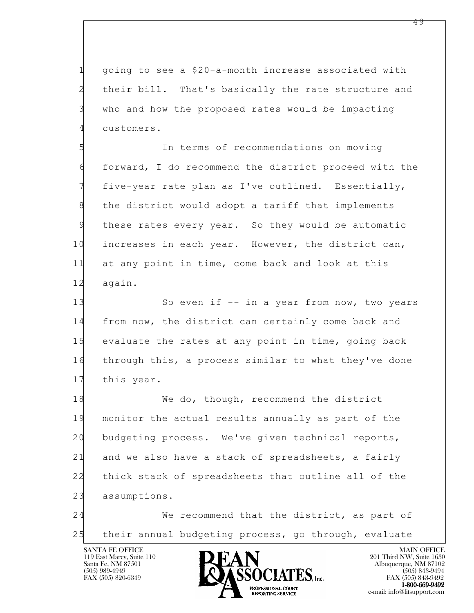1 going to see a \$20-a-month increase associated with 2 their bill. That's basically the rate structure and 3 who and how the proposed rates would be impacting 4 customers.

5 In terms of recommendations on moving 6 forward, I do recommend the district proceed with the 7 five-year rate plan as I've outlined. Essentially, 8 the district would adopt a tariff that implements 9 these rates every year. So they would be automatic 10 increases in each year. However, the district can, 11 at any point in time, come back and look at this 12 again.

13 So even if -- in a year from now, two years 14 from now, the district can certainly come back and 15 evaluate the rates at any point in time, going back 16 through this, a process similar to what they've done 17 this year.

l 18 We do, though, recommend the district 19 monitor the actual results annually as part of the 20 budgeting process. We've given technical reports, 21 and we also have a stack of spreadsheets, a fairly 22 thick stack of spreadsheets that outline all of the 23 assumptions.

24 We recommend that the district, as part of 25 their annual budgeting process, go through, evaluate

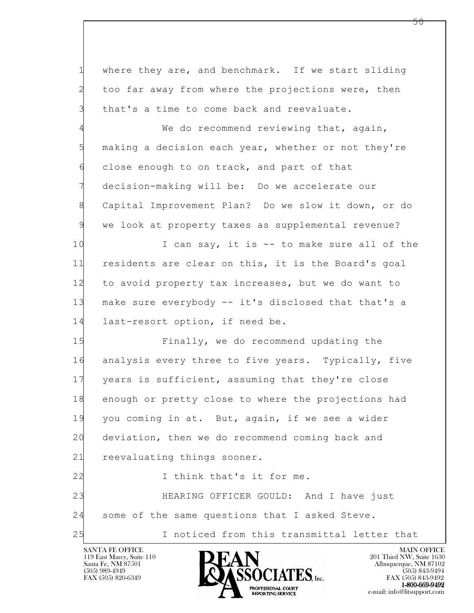l 1 where they are, and benchmark. If we start sliding 2 too far away from where the projections were, then 3 that's a time to come back and reevaluate. 4 We do recommend reviewing that, again, 5 making a decision each year, whether or not they're 6 close enough to on track, and part of that 7 decision-making will be: Do we accelerate our 8 Capital Improvement Plan? Do we slow it down, or do 9 we look at property taxes as supplemental revenue? 10 I can say, it is -- to make sure all of the 11 residents are clear on this, it is the Board's goal 12 to avoid property tax increases, but we do want to 13 make sure everybody -- it's disclosed that that's a 14 last-resort option, if need be. 15 Finally, we do recommend updating the 16 analysis every three to five years. Typically, five 17 years is sufficient, assuming that they're close 18 enough or pretty close to where the projections had 19 you coming in at. But, again, if we see a wider 20 deviation, then we do recommend coming back and 21 reevaluating things sooner. 22 I think that's it for me. 23 HEARING OFFICER GOULD: And I have just 24 some of the same questions that I asked Steve. 25 I noticed from this transmittal letter that

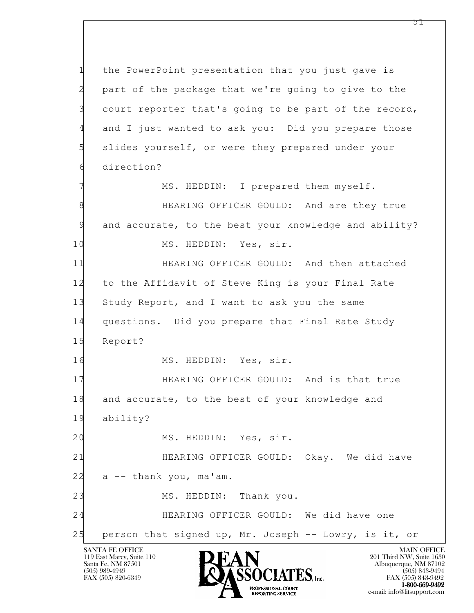1 the PowerPoint presentation that you just gave is 2 part of the package that we're going to give to the 3 court reporter that's going to be part of the record, 4 and I just wanted to ask you: Did you prepare those 5 slides yourself, or were they prepared under your 6 direction?

7 MS. HEDDIN: I prepared them myself.

8 **BEARING OFFICER GOULD:** And are they true 9 and accurate, to the best your knowledge and ability?

10 MS. HEDDIN: Yes, sir.

11 HEARING OFFICER GOULD: And then attached 12 to the Affidavit of Steve King is your Final Rate 13 Study Report, and I want to ask you the same 14 questions. Did you prepare that Final Rate Study 15 Report?

16 MS. HEDDIN: Yes, sir.

17 HEARING OFFICER GOULD: And is that true 18 and accurate, to the best of your knowledge and

19 ability?

l

20 MS. HEDDIN: Yes, sir.

21 HEARING OFFICER GOULD: Okay. We did have 22 a -- thank you, ma'am.

23 MS. HEDDIN: Thank you.

24 HEARING OFFICER GOULD: We did have one

25 person that signed up, Mr. Joseph -- Lowry, is it, or

119 East Marcy, Suite 110<br>Santa Fe, NM 87501

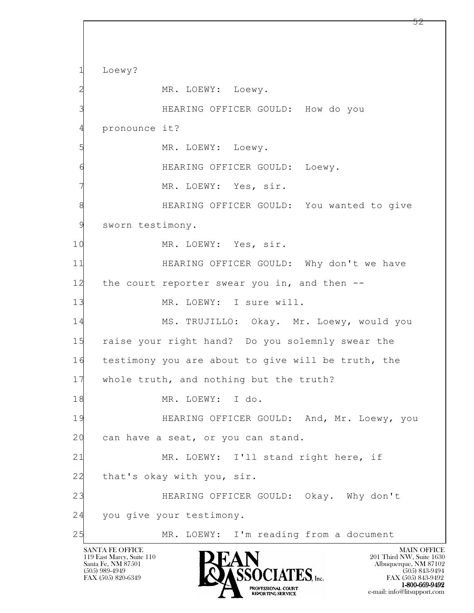l SANTA FE OFFICE MAIN OFFICE MAIN OFFICE MAIN OFFICE MAIN OFFICE 1 Loewy? 2 MR. LOEWY: Loewy. 3 HEARING OFFICER GOULD: How do you 4 pronounce it? 5 MR. LOEWY: Loewy. 6 HEARING OFFICER GOULD: Loewy. 7 MR. LOEWY: Yes, sir. 8 **BEARING OFFICER GOULD:** You wanted to give 9 sworn testimony. 10 MR. LOEWY: Yes, sir. 11 HEARING OFFICER GOULD: Why don't we have 12 the court reporter swear you in, and then -- 13 MR. LOEWY: I sure will. 14 MS. TRUJILLO: Okay. Mr. Loewy, would you 15 raise your right hand? Do you solemnly swear the 16 testimony you are about to give will be truth, the 17 whole truth, and nothing but the truth? 18 MR. LOEWY: I do. 19 HEARING OFFICER GOULD: And, Mr. Loewy, you 20 can have a seat, or you can stand. 21 MR. LOEWY: I'll stand right here, if 22 that's okay with you, sir. 23 HEARING OFFICER GOULD: Okay. Why don't 24 you give your testimony. 25 MR. LOEWY: I'm reading from a document

PROFESSIONAL COURT<br>REPORTING SERVICE

119 East Marcy, Suite 110<br>Santa Fe, NM 87501

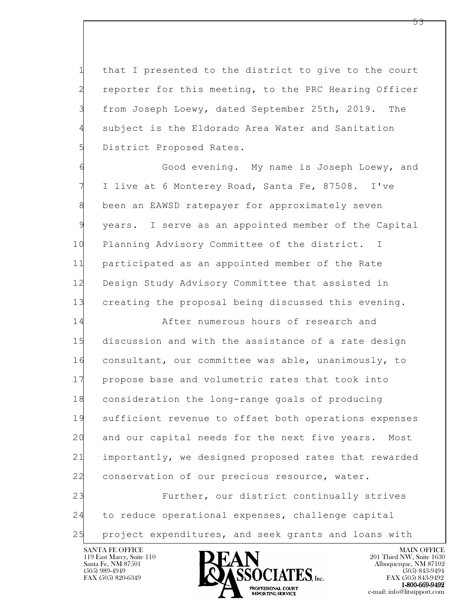1 that I presented to the district to give to the court 2 reporter for this meeting, to the PRC Hearing Officer 3 from Joseph Loewy, dated September 25th, 2019. The 4 subject is the Eldorado Area Water and Sanitation 5 District Proposed Rates.

6 Good evening. My name is Joseph Loewy, and 7 I live at 6 Monterey Road, Santa Fe, 87508. I've 8 been an EAWSD ratepayer for approximately seven 9 years. I serve as an appointed member of the Capital 10 Planning Advisory Committee of the district. I 11 participated as an appointed member of the Rate 12 Design Study Advisory Committee that assisted in 13 creating the proposal being discussed this evening.

14 After numerous hours of research and 15 discussion and with the assistance of a rate design 16 consultant, our committee was able, unanimously, to 17 propose base and volumetric rates that took into 18 consideration the long-range goals of producing 19 sufficient revenue to offset both operations expenses 20 and our capital needs for the next five years. Most 21 importantly, we designed proposed rates that rewarded 22 conservation of our precious resource, water. 23 Further, our district continually strives

l 24 to reduce operational expenses, challenge capital 25 project expenditures, and seek grants and loans with

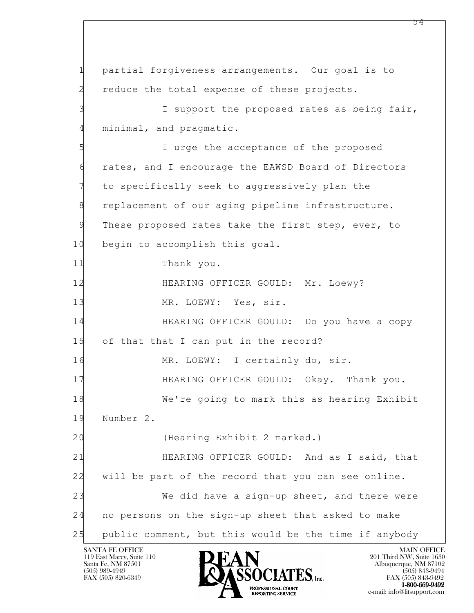l 1 partial forgiveness arrangements. Our goal is to 2 reduce the total expense of these projects. 3 I support the proposed rates as being fair, 4 minimal, and pragmatic. 5 I urge the acceptance of the proposed 6 rates, and I encourage the EAWSD Board of Directors 7 to specifically seek to aggressively plan the 8 replacement of our aging pipeline infrastructure. 9 These proposed rates take the first step, ever, to 10 begin to accomplish this goal. 11 Thank you. 12 **HEARING OFFICER GOULD: Mr. Loewy?** 13 MR. LOEWY: Yes, sir. 14 HEARING OFFICER GOULD: Do you have a copy 15 of that that I can put in the record? 16 MR. LOEWY: I certainly do, sir. 17 HEARING OFFICER GOULD: Okay. Thank you. 18 We're going to mark this as hearing Exhibit 19 Number 2. 20 (Hearing Exhibit 2 marked.) 21 HEARING OFFICER GOULD: And as I said, that 22 will be part of the record that you can see online. 23 We did have a sign-up sheet, and there were 24 no persons on the sign-up sheet that asked to make 25 public comment, but this would be the time if anybody

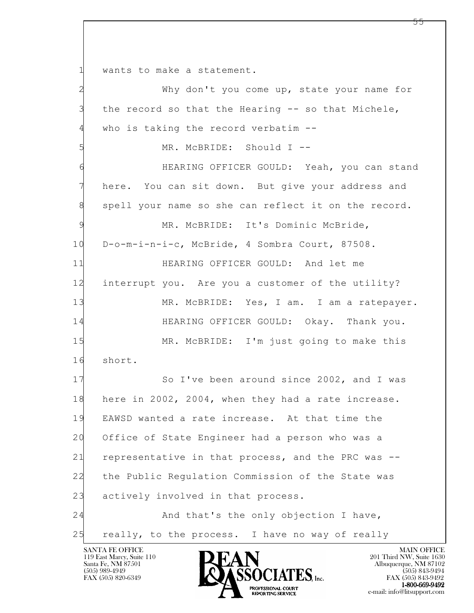1 wants to make a statement.

l 2 Why don't you come up, state your name for 3 the record so that the Hearing -- so that Michele, 4 who is taking the record verbatim -- 5 MR. McBRIDE: Should I -- 6 HEARING OFFICER GOULD: Yeah, you can stand 7 here. You can sit down. But give your address and 8 spell your name so she can reflect it on the record. 9 MR. McBRIDE: It's Dominic McBride, 10 D-o-m-i-n-i-c, McBride, 4 Sombra Court, 87508. 11 HEARING OFFICER GOULD: And let me 12 interrupt you. Are you a customer of the utility? 13 MR. McBRIDE: Yes, I am. I am a ratepayer. 14 HEARING OFFICER GOULD: Okay. Thank you. 15 MR. McBRIDE: I'm just going to make this 16 short. 17 So I've been around since 2002, and I was 18 here in 2002, 2004, when they had a rate increase. 19 EAWSD wanted a rate increase. At that time the 20 Office of State Engineer had a person who was a 21 representative in that process, and the PRC was -- 22 the Public Regulation Commission of the State was 23 actively involved in that process. 24 And that's the only objection I have, 25 really, to the process. I have no way of really

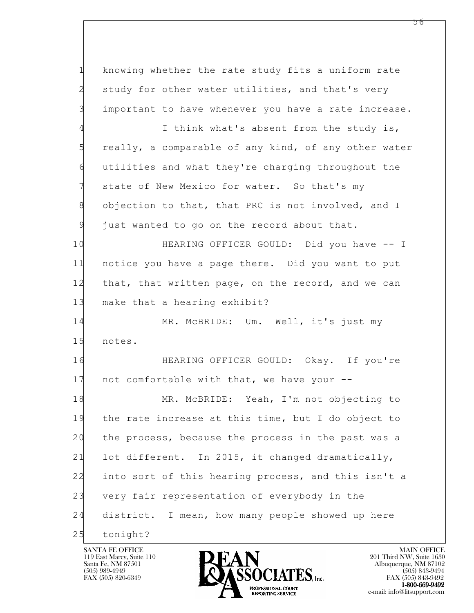1 knowing whether the rate study fits a uniform rate 2 study for other water utilities, and that's very 3 important to have whenever you have a rate increase.

4 I think what's absent from the study is, 5 really, a comparable of any kind, of any other water 6 utilities and what they're charging throughout the state of New Mexico for water. So that's my 8 objection to that, that PRC is not involved, and I 9 just wanted to go on the record about that.

10 HEARING OFFICER GOULD: Did you have -- I 11 notice you have a page there. Did you want to put 12 that, that written page, on the record, and we can 13 make that a hearing exhibit?

14 MR. McBRIDE: Um. Well, it's just my 15 notes.

16 HEARING OFFICER GOULD: Okay. If you're 17 not comfortable with that, we have your --

l 18 MR. McBRIDE: Yeah, I'm not objecting to 19 the rate increase at this time, but I do object to 20 the process, because the process in the past was a 21 lot different. In 2015, it changed dramatically, 22 into sort of this hearing process, and this isn't a 23 very fair representation of everybody in the 24 district. I mean, how many people showed up here 25 tonight?



 $FAX (505) 843-9492$ <br>1-800-669-9492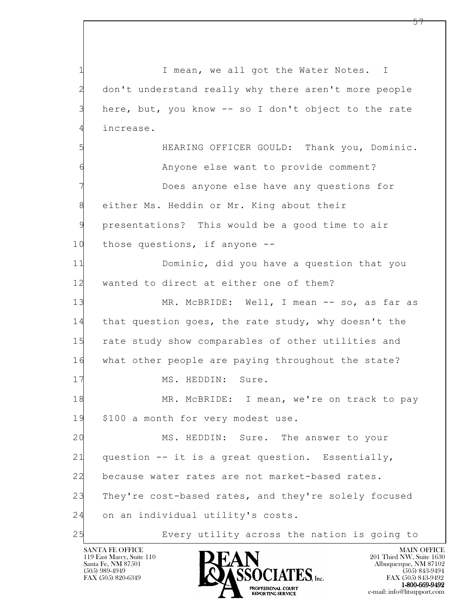l 1 I mean, we all got the Water Notes. I 2 don't understand really why there aren't more people 3 here, but, you know -- so I don't object to the rate 4 increase. 5 HEARING OFFICER GOULD: Thank you, Dominic. 6 Anyone else want to provide comment? 7 Does anyone else have any questions for 8 either Ms. Heddin or Mr. King about their 9 presentations? This would be a good time to air 10 those questions, if anyone -- 11 Dominic, did you have a question that you 12 wanted to direct at either one of them? 13 MR. McBRIDE: Well, I mean -- so, as far as 14 that question goes, the rate study, why doesn't the 15 rate study show comparables of other utilities and 16 what other people are paying throughout the state? 17 MS. HEDDIN: Sure. 18 MR. McBRIDE: I mean, we're on track to pay 19 \$100 a month for very modest use. 20 MS. HEDDIN: Sure. The answer to your 21 question -- it is a great question. Essentially, 22 because water rates are not market-based rates. 23 They're cost-based rates, and they're solely focused 24 on an individual utility's costs. 25 Every utility across the nation is going to

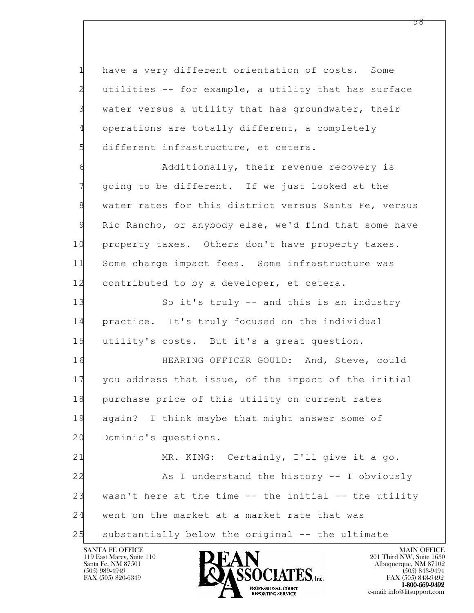1 have a very different orientation of costs. Some 2 utilities -- for example, a utility that has surface 3 water versus a utility that has groundwater, their 4 operations are totally different, a completely 5 different infrastructure, et cetera.

6 Additionally, their revenue recovery is 7 going to be different. If we just looked at the 8 water rates for this district versus Santa Fe, versus 9 Rio Rancho, or anybody else, we'd find that some have 10 property taxes. Others don't have property taxes. 11 Some charge impact fees. Some infrastructure was 12 contributed to by a developer, et cetera.

13 So it's truly -- and this is an industry 14 practice. It's truly focused on the individual 15 utility's costs. But it's a great question.

16 HEARING OFFICER GOULD: And, Steve, could 17 you address that issue, of the impact of the initial 18 purchase price of this utility on current rates 19 again? I think maybe that might answer some of 20 Dominic's questions.

l 21 MR. KING: Certainly, I'll give it a go. 22 As I understand the history -- I obviously 23 wasn't here at the time -- the initial -- the utility 24 went on the market at a market rate that was 25 substantially below the original -- the ultimate

119 East Marcy, Suite 110<br>Santa Fe, NM 87501



 $FAX (505) 843-9492$ <br>1-800-669-9492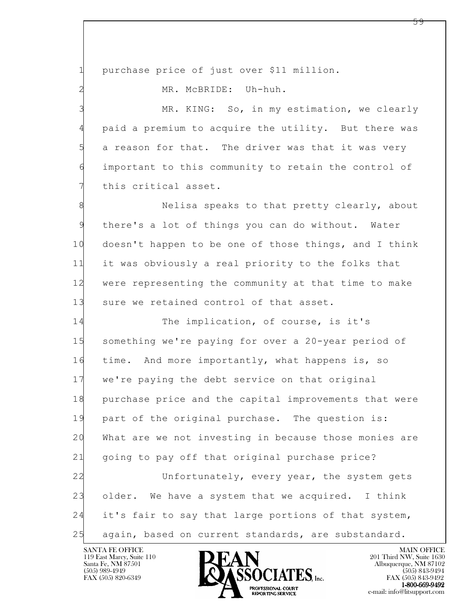1 purchase price of just over \$11 million.

2 MR. McBRIDE: Uh-huh.

3 MR. KING: So, in my estimation, we clearly 4 paid a premium to acquire the utility. But there was 5 a reason for that. The driver was that it was very 6 important to this community to retain the control of 7 this critical asset.

8 Nelisa speaks to that pretty clearly, about 9 there's a lot of things you can do without. Water 10 doesn't happen to be one of those things, and I think 11 it was obviously a real priority to the folks that 12 were representing the community at that time to make 13 sure we retained control of that asset.

l 14 The implication, of course, is it's 15 something we're paying for over a 20-year period of 16 time. And more importantly, what happens is, so 17 we're paying the debt service on that original 18 purchase price and the capital improvements that were 19 part of the original purchase. The question is: 20 What are we not investing in because those monies are 21 going to pay off that original purchase price? 22 Unfortunately, every year, the system gets 23 older. We have a system that we acquired. I think 24 it's fair to say that large portions of that system, 25 again, based on current standards, are substandard.

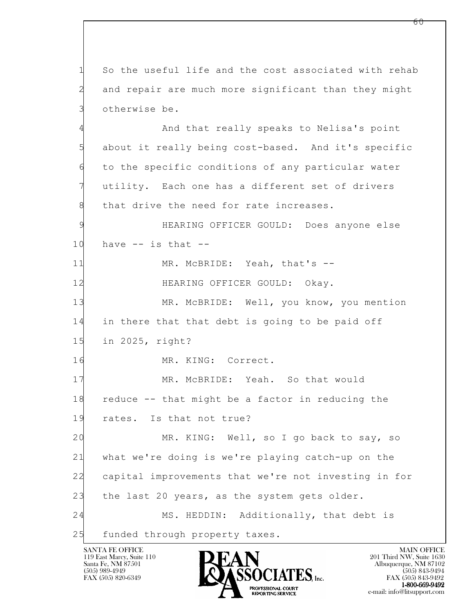l SANTA FE OFFICE MAIN OFFICE MAIN OFFICE MAIN OFFICE MAIN OFFICE 1 So the useful life and the cost associated with rehab 2 and repair are much more significant than they might 3 otherwise be. 4 And that really speaks to Nelisa's point 5 about it really being cost-based. And it's specific 6 to the specific conditions of any particular water 7 utility. Each one has a different set of drivers 8 that drive the need for rate increases. 9 HEARING OFFICER GOULD: Does anyone else  $10$  have  $-$  is that  $-$ 11 MR. McBRIDE: Yeah, that's -- 12 **HEARING OFFICER GOULD:** Okay. 13 MR. McBRIDE: Well, you know, you mention 14 in there that that debt is going to be paid off 15 in 2025, right? 16 MR. KING: Correct. 17 MR. McBRIDE: Yeah. So that would 18 reduce -- that might be a factor in reducing the 19 rates. Is that not true? 20 MR. KING: Well, so I go back to say, so 21 what we're doing is we're playing catch-up on the 22 capital improvements that we're not investing in for 23 the last 20 years, as the system gets older. 24 MS. HEDDIN: Additionally, that debt is 25 funded through property taxes.

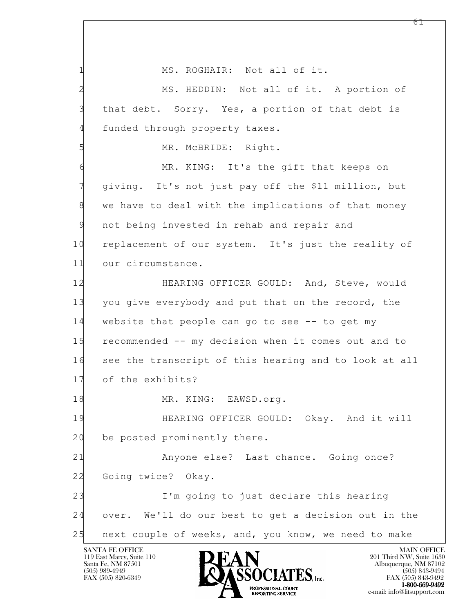l 1 MS. ROGHAIR: Not all of it. 2 MS. HEDDIN: Not all of it. A portion of 3 that debt. Sorry. Yes, a portion of that debt is 4 funded through property taxes. 5 MR. McBRIDE: Right. 6 MR. KING: It's the gift that keeps on 7 giving. It's not just pay off the \$11 million, but 8 we have to deal with the implications of that money 9 not being invested in rehab and repair and 10 replacement of our system. It's just the reality of 11 our circumstance. 12 HEARING OFFICER GOULD: And, Steve, would 13 you give everybody and put that on the record, the 14 website that people can go to see -- to get my 15 recommended -- my decision when it comes out and to 16 see the transcript of this hearing and to look at all 17 of the exhibits? 18 MR. KING: EAWSD.org. 19 HEARING OFFICER GOULD: Okay. And it will 20 be posted prominently there. 21 Anyone else? Last chance. Going once? 22 Going twice? Okay. 23 I'm going to just declare this hearing 24 over. We'll do our best to get a decision out in the 25 next couple of weeks, and, you know, we need to make

119 East Marcy, Suite 110<br>Santa Fe, NM 87501

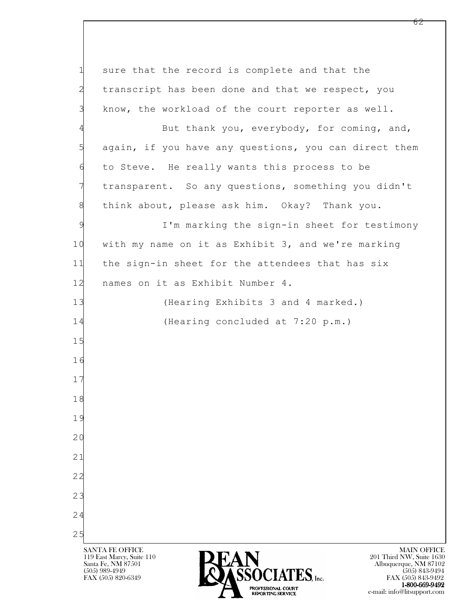l SANTA FE OFFICE MAIN OFFICE MAIN OFFICE MAIN OFFICE MAIN OFFICE 119 East Marcy, Suite 110<br>Santa Fe, NM 87501 Santa Fe, NM 87501 Albuquerque, NM 87102  $\sum_{\text{FAX (505) 889-4949}} \sum_{\text{FAX (505) 843-9492}} \sum_{\text{FAX (505) 843-9492}} \sum_{\text{FAX (505) 843-9492}}$ FAX (505) 843-9492 1 sure that the record is complete and that the 2 transcript has been done and that we respect, you 3 know, the workload of the court reporter as well. 4 But thank you, everybody, for coming, and, 5 again, if you have any questions, you can direct them 6 to Steve. He really wants this process to be 7 transparent. So any questions, something you didn't 8 think about, please ask him. Okay? Thank you. 9 I'm marking the sign-in sheet for testimony 10 with my name on it as Exhibit 3, and we're marking 11 the sign-in sheet for the attendees that has six 12 names on it as Exhibit Number 4. 13 (Hearing Exhibits 3 and 4 marked.) 14 (Hearing concluded at 7:20 p.m.) 15 16 17 18 19 20 21 22 23 24 25

PROFESSIONAL COURT<br>
REPORTING SERVICE<br>
REPORTING SERVICE<br>
C-mail: info@litsupport.com

e-mail: info@litsupport.com